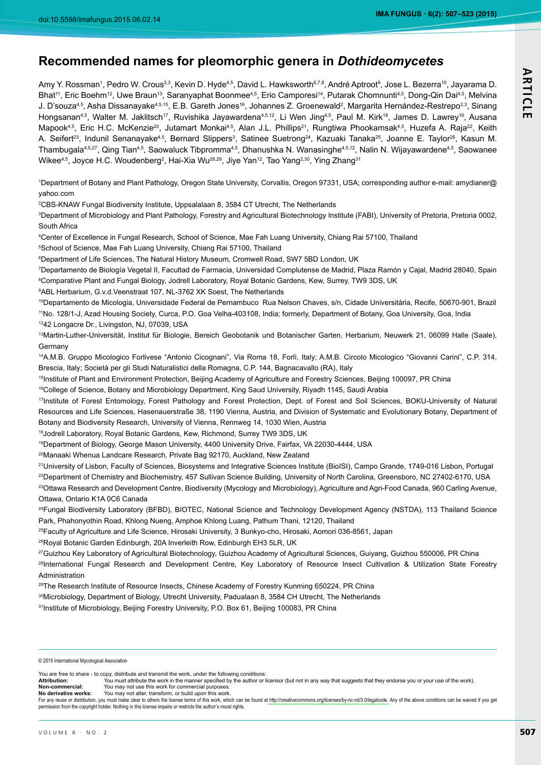# **Recommended names for pleomorphic genera in** *Dothideomycetes*

Amy Y. Rossman<sup>1</sup>, Pedro W. Crous<sup>2,3</sup>, Kevin D. Hyde<sup>4,5</sup>, David L. Hawksworth<sup>s,7,8</sup>, André Aptroot<sup>s</sup>, Jose L. Bezerra<sup>10</sup>, Jayarama D. Bhat<sup>11</sup>, Eric Boehm<sup>12</sup>, Uwe Braun<sup>13</sup>, Saranyaphat Boonmee<sup>4,5</sup>, Erio Camporesi<sup>14</sup>, Putarak Chomnunti<sup>4,5</sup>, Dong-Qin Dai<sup>4,5</sup>, Melvina J. D'souzaª<sub>'</sub>5, Asha Dissanayakeª<sup>,s,ns</sup>, E.B. Gareth Jones<sup>ns</sup>, Johannes Z. Groenewald<sup>2</sup>, Margarita Hernández-Restrepo<sup>2,3</sup>, Sinang Hongsanan<sup>4,5</sup>, Walter M. Jaklitsch<sup>17</sup>, Ruvishika Jayawardena<sup>4,5,12</sup>, Li Wen Jing<sup>4,5</sup>, Paul M. Kirk<sup>18</sup>, James D. Lawrey<sup>19</sup>, Ausana Mapook<sup>4,5</sup>, Eric H.C. McKenzie<sup>20</sup>, Jutamart Monkai<sup>4,5</sup>, Alan J.L. Phillips<sup>21</sup>, Rungtiwa Phookamsak<sup>4,5</sup>, Huzefa A. Raja<sup>22</sup>, Keith A. Seifert<sup>as</sup>, Indunil Senanayake<sup>4,5</sup>, Bernard Slippers<sup>3</sup>, Satinee Suetrong<sup>24</sup>, Kazuaki Tanaka<sup>25</sup>, Joanne E. Taylor<sup>as</sup>, Kasun M. Thambugala<sup>4,5,27</sup>, Qing Tian<sup>4,5</sup>, Saowaluck Tibpromma<sup>4,5</sup>, Dhanushka N. Wanasinghe<sup>4,5,12</sup>, Nalin N. Wijayawardene<sup>4,5</sup>, Saowanee Wikee $^{4,5}$ , Joyce H.C. Woudenberg<sup>2</sup>, Hai-Xia Wu<sup>28,29</sup>, Jiye Yan<sup>12</sup>, Tao Yang<sup>2,30</sup>, Ying Zhang<sup>31</sup>

1 Department of Botany and Plant Pathology, Oregon State University, Corvallis, Oregon 97331, USA; corresponding author e-mail: amydianer@ yahoo.com

2 CBS-KNAW Fungal Biodiversity Institute, Uppsalalaan 8, 3584 CT Utrecht, The Netherlands

3 Department of Microbiology and Plant Pathology, Forestry and Agricultural Biotechnology Institute (FABI), University of Pretoria, Pretoria 0002, South Africa

4 Center of Excellence in Fungal Research, School of Science, Mae Fah Luang University, Chiang Rai 57100, Thailand

5 School of Science, Mae Fah Luang University, Chiang Rai 57100, Thailand

6 Department of Life Sciences, The Natural History Museum, Cromwell Road, SW7 5BD London, UK

7 Departamento de Biología Vegetal II, Facultad de Farmacia, Universidad Complutense de Madrid, Plaza Ramón y Cajal, Madrid 28040, Spain 8 Comparative Plant and Fungal Biology, Jodrell Laboratory, Royal Botanic Gardens, Kew, Surrey, TW9 3DS, UK

9 ABL Herbarium, G.v.d.Veenstraat 107, NL-3762 XK Soest, The Netherlands

10Departamento de Micologia, Universidade Federal de Pernambuco Rua Nelson Chaves, s/n, Cidade Universitária, Recife, 50670-901, Brazil 11No. 128/1-J, Azad Housing Society, Curca, P.O. Goa Velha-403108, India; formerly, Department of Botany, Goa University, Goa, India 1242 Longacre Dr., Livingston, NJ, 07039, USA

13Martin-Luther-Universität, Institut für Biologie, Bereich Geobotanik und Botanischer Garten, Herbarium, Neuwerk 21, 06099 Halle (Saale), **Germany** 

14A.M.B. Gruppo Micologico Forlivese "Antonio Cicognani", Via Roma 18, Forlì, Italy; A.M.B. Circolo Micologico "Giovanni Carini", C.P. 314, Brescia, Italy; Società per gli Studi Naturalistici della Romagna, C.P. 144, Bagnacavallo (RA), Italy

<sup>15</sup>Institute of Plant and Environment Protection, Beijing Academy of Agriculture and Forestry Sciences, Beijing 100097, PR China

<sup>16</sup>College of Science, Botany and Microbiology Department, King Saud University, Riyadh 1145, Saudi Arabia

17Institute of Forest Entomology, Forest Pathology and Forest Protection, Dept. of Forest and Soil Sciences, BOKU-University of Natural Resources and Life Sciences, Hasenauerstraße 38, 1190 Vienna, Austria, and Division of Systematic and Evolutionary Botany, Department of Botany and Biodiversity Research, University of Vienna, Rennweg 14, 1030 Wien, Austria

18Jodrell Laboratory, Royal Botanic Gardens, Kew, Richmond, Surrey TW9 3DS, UK

19Department of Biology, George Mason University, 4400 University Drive, Fairfax, VA 22030-4444, USA

20Manaaki Whenua Landcare Research, Private Bag 92170, Auckland, New Zealand

<sup>21</sup>University of Lisbon, Faculty of Sciences, Biosystems and Integrative Sciences Institute (BioISI), Campo Grande, 1749-016 Lisbon, Portugal <sup>22</sup>Department of Chemistry and Biochemistry, 457 Sullivan Science Building, University of North Carolina, Greensboro, NC 27402-6170, USA <sup>23</sup>Ottawa Research and Development Centre, Biodiversity (Mycology and Microbiology), Agriculture and Agri-Food Canada, 960 Carling Avenue, Ottawa, Ontario K1A 0C6 Canada

<sup>24</sup>Fungal Biodiversity Laboratory (BFBD), BIOTEC, National Science and Technology Development Agency (NSTDA), 113 Thailand Science Park, Phahonyothin Road, Khlong Nueng, Amphoe Khlong Luang, Pathum Thani, 12120, Thailand

25Faculty of Agriculture and Life Science, Hirosaki University, 3 Bunkyo-cho, Hirosaki, Aomori 036-8561, Japan

<sup>26</sup>Royal Botanic Garden Edinburgh, 20A Inverleith Row, Edinburgh EH3 5LR, UK

<sup>27</sup>Guizhou Key Laboratory of Agricultural Biotechnology, Guizhou Academy of Agricultural Sciences, Guiyang, Guizhou 550006, PR China 28International Fungal Research and Development Centre, Key Laboratory of Resource Insect Cultivation & Utilization State Forestry Administration

<sup>29</sup>The Research Institute of Resource Insects, Chinese Academy of Forestry Kunming 650224, PR China

30Microbiology, Department of Biology, Utrecht University, Padualaan 8, 3584 CH Utrecht, The Netherlands

<sup>31</sup>Institute of Microbiology, Beijing Forestry University, P.O. Box 61, Beijing 100083, PR China

© 2015 International Mycological Association

You are free to share - to copy, distribute and transmit the work, under the following conditions:<br>Attribution: You must attribute the work in the manner specified by the author or I Attribution: You must attribute the work in the manner specified by the author or licensor (but not in any way that suggests that they endorse you or your use of the work).<br>Non-commercial: You may not use this work for com

**Non-commercial:** You may not use this work for commercial purposes<br>**No derivative works:** You may not alter, transform, or build upon this work You may not alter, transform, or build upon this work For any reuse or distribution, you must make clear to others the license terms of this work, which can be found at [http://creativecommons.org/licenses/by-nc-nd/3.0/legalcode.](http://creativecommons.org/licenses/by-nc-nd/3.0/legalcode) Any of the above conditions can be waived if yo permission from the copyright holder. Nothing in this license impairs or restricts the author's moral rights.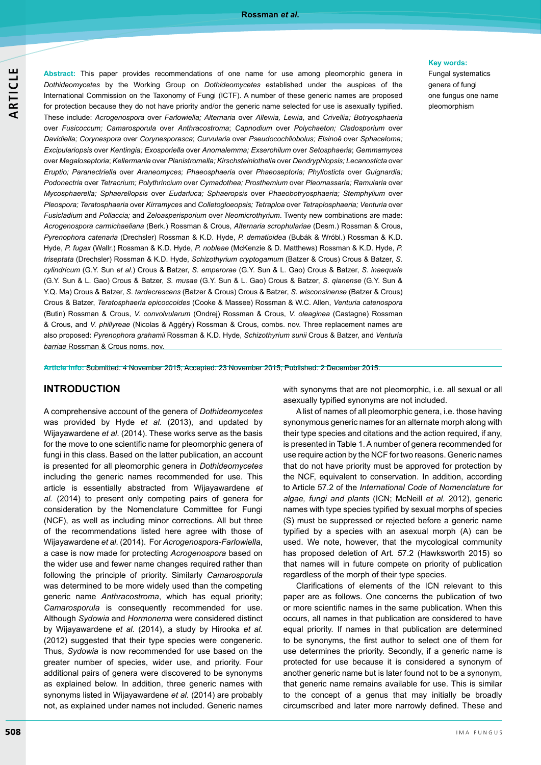**Abstract:** This paper provides recommendations of one name for use among pleomorphic genera in *Dothideomycetes* by the Working Group on *Dothideomycetes* established under the auspices of the International Commission on the Taxonomy of Fungi (ICTF). A number of these generic names are proposed for protection because they do not have priority and/or the generic name selected for use is asexually typified. These include: *Acrogenospora* over *Farlowiella; Alternaria* over *Allewia, Lewia*, and *Crivellia; Botryosphaeria* over *Fusicoccum; Camarosporula* over *Anthracostroma*; *Capnodium* over *Polychaeton; Cladosporium* over *Davidiella; Corynespora* over *Corynesporasca*; *Curvularia* over *Pseudocochliobolus; Elsinoë* over *Sphaceloma; Excipulariopsis* over *Kentingia; Exosporiella* over *Anomalemma; Exserohilum* over *Setosphaeria*; *Gemmamyces* over *Megaloseptoria*; *Kellermania* over *Planistromella; Kirschsteiniothelia* over *Dendryphiopsis; Lecanosticta* over *Eruptio; Paranectriella* over *Araneomyces; Phaeosphaeria* over *Phaeoseptoria; Phyllosticta* over *Guignardia; Podonectria* over *Tetracrium; Polythrincium* over *Cymadothea; Prosthemium* over *Pleomassaria; Ramularia* over *Mycosphaerella; Sphaerellopsis* over *Eudarluca; Sphaeropsis* over *Phaeobotryosphaeria; Stemphylium* over *Pleospora; Teratosphaeria* over *Kirramyces* and *Colletogloeopsis; Tetraploa* over *Tetraplosphaeria; Venturia* over *Fusicladium* and *Pollaccia;* and *Zeloasperisporium* over *Neomicrothyrium*. Twenty new combinations are made: *Acrogenospora carmichaeliana* (Berk.) Rossman & Crous, *Alternaria scrophulariae* (Desm.) Rossman & Crous, *Pyrenophora catenaria* (Drechsler) Rossman & K.D. Hyde, *P. dematioidea* (Bubák & Wróbl.) Rossman & K.D. Hyde, *P. fugax* (Wallr.) Rossman & K.D. Hyde, *P. nobleae* (McKenzie & D. Matthews) Rossman & K.D. Hyde, *P. triseptata* (Drechsler) Rossman & K.D. Hyde, *Schizothyrium cryptogamum* (Batzer & Crous) Crous & Batzer, *S. cylindricum* (G.Y. Sun *et al.*) Crous & Batzer, *S. emperorae* (G.Y. Sun & L. Gao) Crous & Batzer, *S. inaequale*  (G.Y. Sun & L. Gao) Crous & Batzer, *S. musae* (G.Y. Sun & L. Gao) Crous & Batzer, *S. qianense* (G.Y. Sun & Y.Q. Ma) Crous & Batzer, *S. tardecrescens* (Batzer & Crous) Crous & Batzer, *S. wisconsinense* (Batzer & Crous) Crous & Batzer, *Teratosphaeria epicoccoides* (Cooke & Massee) Rossman & W.C. Allen, *Venturia catenospora* (Butin) Rossman & Crous, *V. convolvularum* (Ondrej) Rossman & Crous, *V. oleaginea* (Castagne) Rossman & Crous, and *V. phillyreae* (Nicolas & Aggéry) Rossman & Crous, combs. nov. Three replacement names are also proposed: *Pyrenophora grahamii* Rossman & K.D. Hyde, *Schizothyrium sunii* Crous & Batzer, and *Venturia barriae* Rossman & Crous noms. nov.

**Article info:** Submitted: 4 November 2015; Accepted: 23 November 2015; Published: 2 December 2015.

#### **INTRODUCTION**

A comprehensive account of the genera of *Dothideomycetes* was provided by Hyde *et al.* (2013), and updated by Wijayawardene *et al*. (2014). These works serve as the basis for the move to one scientific name for pleomorphic genera of fungi in this class. Based on the latter publication, an account is presented for all pleomorphic genera in *Dothideomycetes* including the generic names recommended for use. This article is essentially abstracted from Wijayawardene *et al.* (2014) to present only competing pairs of genera for consideration by the Nomenclature Committee for Fungi (NCF), as well as including minor corrections. All but three of the recommendations listed here agree with those of Wijayawardene *et al.* (2014). For *Acrogenospora-Farlowiella*, a case is now made for protecting *Acrogenospora* based on the wider use and fewer name changes required rather than following the principle of priority. Similarly *Camarosporula* was determined to be more widely used than the competing generic name *Anthracostroma*, which has equal priority; *Camarosporula* is consequently recommended for use. Although *Sydowia* and *Hormonema* were considered distinct by Wijayawardene *et al.* (2014), a study by Hirooka *et al.*  (2012) suggested that their type species were congeneric. Thus, *Sydowia* is now recommended for use based on the greater number of species, wider use, and priority. Four additional pairs of genera were discovered to be synonyms as explained below. In addition, three generic names with synonyms listed in Wijayawardene *et al.* (2014) are probably not, as explained under names not included. Generic names

with synonyms that are not pleomorphic, i.e. all sexual or all asexually typified synonyms are not included.

A list of names of all pleomorphic genera, i.e. those having synonymous generic names for an alternate morph along with their type species and citations and the action required, if any, is presented in Table 1. A number of genera recommended for use require action by the NCF for two reasons. Generic names that do not have priority must be approved for protection by the NCF, equivalent to conservation. In addition, according to Article 57.2 of the *International Code of Nomenclature for algae, fungi and plants* (ICN; McNeill *et al.* 2012), generic names with type species typified by sexual morphs of species (S) must be suppressed or rejected before a generic name typified by a species with an asexual morph (A) can be used. We note, however, that the mycological community has proposed deletion of Art. 57.2 (Hawksworth 2015) so that names will in future compete on priority of publication regardless of the morph of their type species.

Clarifications of elements of the ICN relevant to this paper are as follows. One concerns the publication of two or more scientific names in the same publication. When this occurs, all names in that publication are considered to have equal priority. If names in that publication are determined to be synonyms, the first author to select one of them for use determines the priority. Secondly, if a generic name is protected for use because it is considered a synonym of another generic name but is later found not to be a synonym, that generic name remains available for use. This is similar to the concept of a genus that may initially be broadly circumscribed and later more narrowly defined. These and

#### **Key words:**

Fungal systematics genera of fungi one fungus one name pleomorphism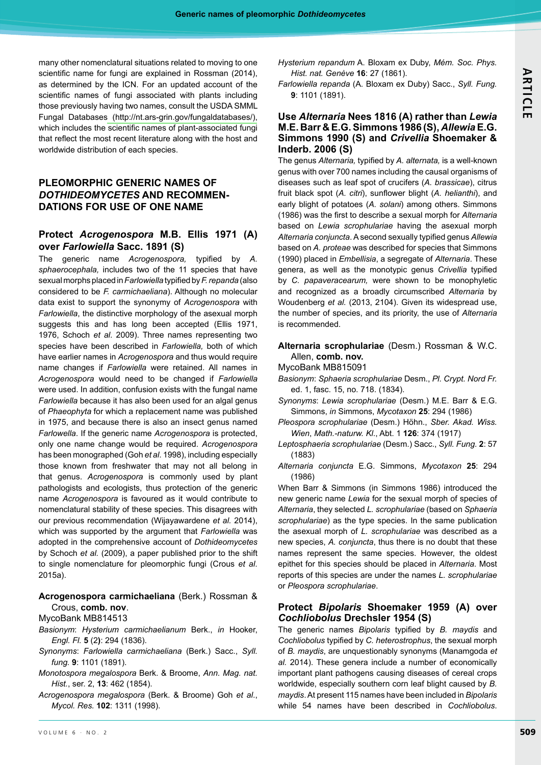many other nomenclatural situations related to moving to one scientific name for fungi are explained in Rossman (2014), as determined by the ICN. For an updated account of the scientific names of fungi associated with plants including those previously having two names, consult the USDA SMML Fungal Database[s \(http://nt.ars-grin.gov/fungaldatabases/\),](http://nt.ars-grin.gov/fungaldatabases/) which includes the scientific names of plant-associated fungi that reflect the most recent literature along with the host and worldwide distribution of each species.

# **Pleomorphic generic names of** *Dothideomycetes* **and recommendations for use OF one name**

# **Protect** *Acrogenospora* **M.B. Ellis 1971 (A) over** *Farlowiella* **Sacc. 1891 (S)**

The generic name *Acrogenospora,* typified by *A. sphaerocephala,* includes two of the 11 species that have sexual morphs placed in *Farlowiella* typified by *F.repanda* (also considered to be *F. carmichaeliana*). Although no molecular data exist to support the synonymy of *Acrogenospora* with *Farlowiella*, the distinctive morphology of the asexual morph suggests this and has long been accepted (Ellis 1971, 1976, Schoch *et al*. 2009). Three names representing two species have been described in *Farlowiella,* both of which have earlier names in *Acrogenospora* and thus would require name changes if *Farlowiella* were retained. All names in *Acrogenospora* would need to be changed if *Farlowiella* were used. In addition, confusion exists with the fungal name *Farlowiella* because it has also been used for an algal genus of *Phaeophyta* for which a replacement name was published in 1975, and because there is also an insect genus named *Farlowella*. If the generic name *Acrogenospora* is protected, only one name change would be required. *Acrogenospora* has been monographed (Goh *et al*. 1998), including especially those known from freshwater that may not all belong in that genus. *Acrogenospora* is commonly used by plant pathologists and ecologists, thus protection of the generic name *Acrogenospora* is favoured as it would contribute to nomenclatural stability of these species. This disagrees with our previous recommendation (Wijayawardene *et al.* 2014), which was supported by the argument that *Farlowiella* was adopted in the comprehensive account of *Dothideomycetes* by Schoch *et al.* (2009), a paper published prior to the shift to single nomenclature for pleomorphic fungi (Crous *et al*. 2015a).

# **Acrogenospora carmichaeliana** (Berk.) Rossman & Crous, **comb. nov**.

#### MycoBank MB814513

- *Basionym*: *Hysterium carmichaelianum* Berk., *in* Hooker, *Engl. Fl.* **5** (2**)**: 294 (1836).
- *Synonyms*: *Farlowiella carmichaeliana* (Berk.) Sacc., *Syll. fung.* **9**: 1101 (1891).
- *Monotospora megalospora* Berk. & Broome, *Ann. Mag. nat. Hist.*, ser. 2, **13**: 462 (1854).
- *Acrogenospora megalospora* (Berk. & Broome) Goh *et al*., *Mycol. Res.* **102**: 1311 (1998).
- *Hysterium repandum* A. Bloxam ex Duby, *Mém. Soc. Phys. Hist. nat. Genève* **16**: 27 (1861).
- *Farlowiella repanda* (A. Bloxam ex Duby) Sacc., *Syll. Fung.* **9**: 1101 (1891).

# **Use** *Alternaria* **Nees 1816 (A) rather than** *Lewia* **M.E. Barr & E.G. Simmons 1986 (S),** *Allewia***E.G. Simmons 1990 (S) and** *Crivellia* **Shoemaker & Inderb. 2006 (S)**

The genus *Alternaria,* typified by *A. alternata,* is a well-known genus with over 700 names including the causal organisms of diseases such as leaf spot of crucifers (*A. brassicae*), citrus fruit black spot (*A. citri*), sunflower blight (*A. helianthi*), and early blight of potatoes (*A. solani*) among others. Simmons (1986) was the first to describe a sexual morph for *Alternaria* based on *Lewia scrophulariae* having the asexual morph *Alternaria conjuncta*. A second sexually typified genus *Allewia* based on *A. proteae* was described for species that Simmons (1990) placed in *Embellisia*, a segregate of *Alternaria*. These genera, as well as the monotypic genus *Crivellia* typified by *C. papaveracearum,* were shown to be monophyletic and recognized as a broadly circumscribed *Alternaria* by Woudenberg *et al.* (2013, 2104). Given its widespread use, the number of species, and its priority, the use of *Alternaria* is recommended.

### **Alternaria scrophulariae** (Desm.) Rossman & W.C. Allen, **comb. nov.**

- MycoBank MB815091
- *Basionym*: *Sphaeria scrophulariae* Desm., *Pl. Crypt. Nord Fr.*  ed. 1, fasc. 15, no. 718. (1834).
- *Synonyms*: *Lewia scrophulariae* (Desm.) M.E. Barr & E.G. Simmons, *in* Simmons, *Mycotaxon* **25**: 294 (1986)
- *Pleospora scrophulariae* (Desm.) Höhn., *Sber. Akad. Wiss. Wien*, *Math.-naturw. Kl*., Abt. 1 **126**: 374 (1917)
- *Leptosphaeria scrophulariae* (Desm.) Sacc., *Syll. Fung.* **2**: 57 (1883)
- *Alternaria conjuncta* E.G. Simmons, *Mycotaxon* **25**: 294 (1986)

When Barr & Simmons (in Simmons 1986) introduced the new generic name *Lewia* for the sexual morph of species of *Alternaria*, they selected *L. scrophulariae* (based on *Sphaeria scrophulariae*) as the type species. In the same publication the asexual morph of *L. scrophulariae* was described as a new species, *A. conjuncta*, thus there is no doubt that these names represent the same species. However, the oldest epithet for this species should be placed in *Alternaria*. Most reports of this species are under the names *L. scrophulariae* or *Pleospora scrophulariae*.

# **Protect** *Bipolaris* **Shoemaker 1959 (A) over**  *Cochliobolus* **Drechsler 1954 (S)**

The generic names *Bipolaris* typified by *B. maydis* and *Cochliobolus* typified by *C. heterostrophus*, the sexual morph of *B. maydis*, are unquestionably synonyms (Manamgoda *et al.* 2014). These genera include a number of economically important plant pathogens causing diseases of cereal crops worldwide, especially southern corn leaf blight caused by *B. maydis*. At present 115 names have been included in *Bipolaris* while 54 names have been described in *Cochliobolus*.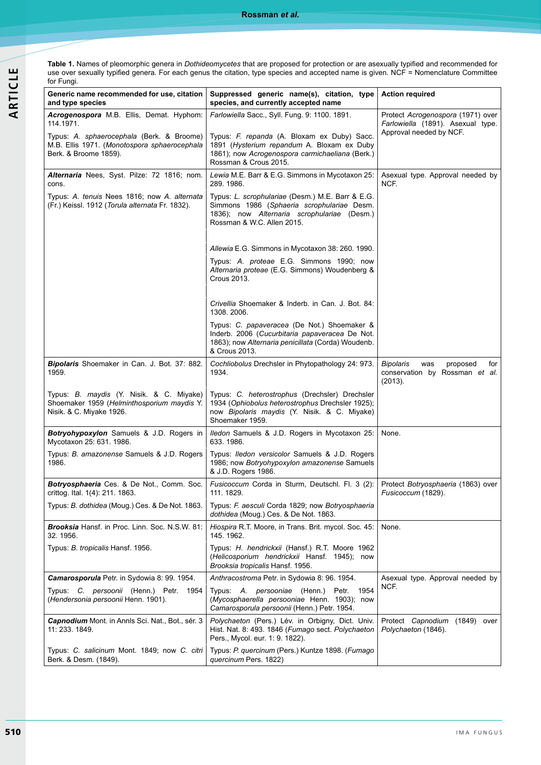**Rossman** *et al***.**

**Table 1.** Names of pleomorphic genera in *Dothideomycetes* that are proposed for protection or are asexually typified and recommended for use over sexually typified genera. For each genus the citation, type species and accepted name is given. NCF = Nomenclature Committee for Fungi.

| Generic name recommended for use, citation                                                                         | Suppressed generic name(s), citation, type                                                                                                                                  | <b>Action required</b>                                                                            |
|--------------------------------------------------------------------------------------------------------------------|-----------------------------------------------------------------------------------------------------------------------------------------------------------------------------|---------------------------------------------------------------------------------------------------|
| and type species                                                                                                   | species, and currently accepted name                                                                                                                                        |                                                                                                   |
| Acrogenospora M.B. Ellis, Demat. Hyphom:<br>114.1971.                                                              | Farlowiella Sacc., Syll. Fung. 9: 1100. 1891.                                                                                                                               | Protect Acrogenospora (1971) over<br>Farlowiella (1891). Asexual type.<br>Approval needed by NCF. |
| Typus: A. sphaerocephala (Berk. & Broome)<br>M.B. Ellis 1971. (Monotospora sphaerocephala<br>Berk. & Broome 1859). | Typus: F. repanda (A. Bloxam ex Duby) Sacc.<br>1891 (Hysterium repandum A. Bloxam ex Duby<br>1861); now Acrogenospora carmichaeliana (Berk.)<br>Rossman & Crous 2015.       |                                                                                                   |
| Alternaria Nees, Syst. Pilze: 72 1816; nom.<br>cons.                                                               | Lewia M.E. Barr & E.G. Simmons in Mycotaxon 25:<br>289.1986.                                                                                                                | Asexual type. Approval needed by<br>NCF.                                                          |
| Typus: A. tenuis Nees 1816; now A. alternata<br>(Fr.) Keissl. 1912 (Torula alternata Fr. 1832).                    | Typus: L. scrophulariae (Desm.) M.E. Barr & E.G.<br>Simmons 1986 (Sphaeria scrophulariae Desm.<br>1836); now Alternaria scrophulariae (Desm.)<br>Rossman & W.C. Allen 2015. |                                                                                                   |
|                                                                                                                    | Allewia E.G. Simmons in Mycotaxon 38: 260. 1990.                                                                                                                            |                                                                                                   |
|                                                                                                                    | Typus: A. proteae E.G. Simmons 1990; now<br>Alternaria proteae (E.G. Simmons) Woudenberg &<br>Crous 2013.                                                                   |                                                                                                   |
|                                                                                                                    | Crivellia Shoemaker & Inderb. in Can. J. Bot. 84:<br>1308.2006.                                                                                                             |                                                                                                   |
|                                                                                                                    | Typus: C. papaveracea (De Not.) Shoemaker &<br>Inderb. 2006 (Cucurbitaria papaveracea De Not.<br>1863); now Alternaria penicillata (Corda) Woudenb.<br>& Crous 2013.        |                                                                                                   |
| Bipolaris Shoemaker in Can. J. Bot. 37: 882.<br>1959.                                                              | Cochliobolus Drechsler in Phytopathology 24: 973.<br>1934.                                                                                                                  | Bipolaris<br>was<br>proposed<br>for<br>conservation by Rossman et al.<br>(2013).                  |
| Typus: B. maydis (Y. Nisik. & C. Miyake)<br>Shoemaker 1959 (Helminthosporium maydis Y.<br>Nisik. & C. Miyake 1926. | Typus: C. heterostrophus (Drechsler) Drechsler<br>1934 (Ophiobolus heterostrophus Drechsler 1925);<br>now Bipolaris maydis (Y. Nisik. & C. Miyake)<br>Shoemaker 1959.       |                                                                                                   |
| Botryohypoxylon Samuels & J.D. Rogers in<br>Mycotaxon 25: 631. 1986.                                               | Iledon Samuels & J.D. Rogers in Mycotaxon 25:<br>633.1986.                                                                                                                  | None.                                                                                             |
| Typus: B. amazonense Samuels & J.D. Rogers<br>1986.                                                                | Typus: Iledon versicolor Samuels & J.D. Rogers<br>1986; now Botryohypoxylon amazonense Samuels<br>& J.D. Rogers 1986.                                                       |                                                                                                   |
| Botryosphaeria Ces. & De Not., Comm. Soc.<br>crittog. Ital. 1(4): 211. 1863.                                       | Fusicoccum Corda in Sturm, Deutschl. Fl. 3 (2):<br>111. 1829.                                                                                                               | Protect Botryosphaeria (1863) over<br>Fusicoccum (1829).                                          |
| Typus: B. dothidea (Moug.) Ces. & De Not. 1863.                                                                    | Typus: F. aesculi Corda 1829; now Botryosphaeria<br>dothidea (Moug.) Ces. & De Not. 1863.                                                                                   |                                                                                                   |
| <b>Brooksia</b> Hansf. in Proc. Linn. Soc. N.S.W. 81:<br>32.1956.                                                  | Hiospira R.T. Moore, in Trans. Brit. mycol. Soc. 45:<br>145. 1962.                                                                                                          | None.                                                                                             |
| Typus: B. tropicalis Hansf. 1956.                                                                                  | Typus: H. hendrickxii (Hansf.) R.T. Moore 1962<br>(Helicosporium hendrickxii Hansf. 1945); now<br>Brooksia tropicalis Hansf. 1956.                                          |                                                                                                   |
| Camarosporula Petr. in Sydowia 8: 99. 1954.                                                                        | Anthracostroma Petr. in Sydowia 8: 96. 1954.                                                                                                                                | Asexual type. Approval needed by                                                                  |
| Typus: C. persoonii (Henn.) Petr. 1954<br>(Hendersonia persoonii Henn. 1901).                                      | Typus: A. <i>persooniae</i> (Henn.) Petr.<br>1954<br>(Mycosphaerella persooniae Henn. 1903); now<br>Camarosporula persoonii (Henn.) Petr. 1954.                             | NCF.                                                                                              |
| Capnodium Mont. in Annis Sci. Nat., Bot., sér. 3<br>11: 233. 1849.                                                 | Polychaeton (Pers.) Lév. in Orbigny, Dict. Univ.<br>Hist. Nat. 8: 493. 1846 (Fumago sect. Polychaeton<br>Pers., Mycol. eur. 1: 9. 1822).                                    | Protect Capnodium (1849) over<br>Polychaeton (1846).                                              |
| Typus: C. salicinum Mont. 1849; now C. citri<br>Berk. & Desm. (1849).                                              | Typus: P. quercinum (Pers.) Kuntze 1898. (Fumago<br>quercinum Pers. 1822)                                                                                                   |                                                                                                   |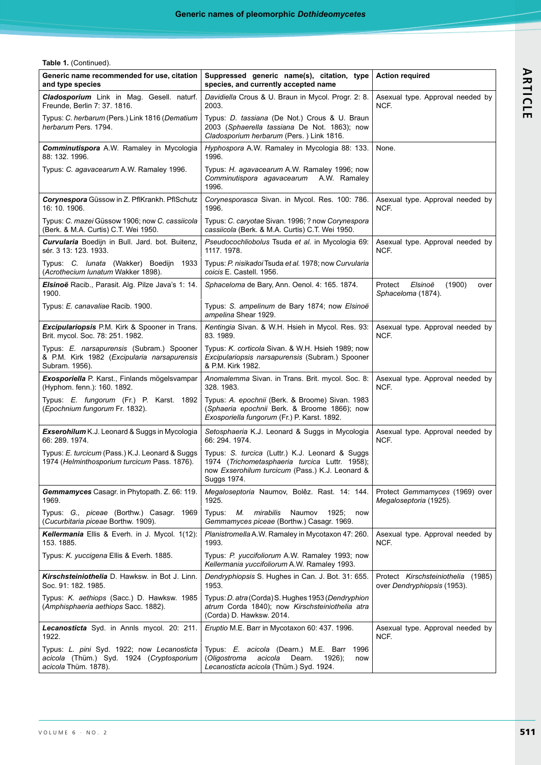**Table 1.** (Continued).

| Generic name recommended for use, citation<br>and type species                                                 | Suppressed generic name(s), citation, type<br>species, and currently accepted name                                                                                  | <b>Action required</b>                                               |
|----------------------------------------------------------------------------------------------------------------|---------------------------------------------------------------------------------------------------------------------------------------------------------------------|----------------------------------------------------------------------|
| Cladosporium Link in Mag. Gesell. naturf.<br>Freunde, Berlin 7: 37. 1816.                                      | Davidiella Crous & U. Braun in Mycol. Progr. 2: 8.<br>2003.                                                                                                         | Asexual type. Approval needed by<br>NCF.                             |
| Typus: C. herbarum (Pers.) Link 1816 (Dematium<br>herbarum Pers. 1794.                                         | Typus: D. tassiana (De Not.) Crous & U. Braun<br>2003 (Sphaerella tassiana De Not. 1863); now<br>Cladosporium herbarum (Pers.) Link 1816.                           |                                                                      |
| Comminutispora A.W. Ramaley in Mycologia<br>88: 132. 1996.                                                     | Hyphospora A.W. Ramaley in Mycologia 88: 133.<br>1996.                                                                                                              | None.                                                                |
| Typus: C. agavacearum A.W. Ramaley 1996.                                                                       | Typus: H. agavacearum A.W. Ramaley 1996; now<br>Comminutispora agavacearum A.W. Ramaley<br>1996.                                                                    |                                                                      |
| Corynespora Güssow in Z. PflKrankh. PflSchutz<br>16: 10. 1906.                                                 | Corynesporasca Sivan. in Mycol. Res. 100: 786.<br>1996.                                                                                                             | Asexual type. Approval needed by<br>NCF.                             |
| Typus: C. mazei Güssow 1906; now C. cassiicola<br>(Berk. & M.A. Curtis) C.T. Wei 1950.                         | Typus: C. caryotae Sivan. 1996; ? now Corynespora<br>cassiicola (Berk. & M.A. Curtis) C.T. Wei 1950.                                                                |                                                                      |
| Curvularia Boedijn in Bull. Jard. bot. Buitenz,<br>sér. 3 13: 123. 1933.                                       | Pseudocochliobolus Tsuda et al. in Mycologia 69:<br>1117.1978.                                                                                                      | Asexual type. Approval needed by<br>NCF.                             |
| Typus: C. lunata (Wakker) Boedijn 1933<br>(Acrothecium lunatum Wakker 1898).                                   | Typus: P. nisikadoi Tsuda et al. 1978; now Curvularia<br>coicis E. Castell. 1956.                                                                                   |                                                                      |
| <b>Elsinoë</b> Racib., Parasit. Alg. Pilze Java's 1: 14.<br>1900.                                              | Sphaceloma de Bary, Ann. Oenol. 4: 165. 1874.                                                                                                                       | Protect<br>Elsinoë<br>(1900)<br>over<br>Sphaceloma (1874).           |
| Typus: E. canavaliae Racib. 1900.                                                                              | Typus: S. ampelinum de Bary 1874; now Elsinoë<br>ampelina Shear 1929.                                                                                               |                                                                      |
| <b>Excipulariopsis P.M. Kirk &amp; Spooner in Trans.</b><br>Brit. mycol. Soc. 78: 251. 1982.                   | Kentingia Sivan. & W.H. Hsieh in Mycol. Res. 93:<br>83.1989.                                                                                                        | Asexual type. Approval needed by<br>NCF.                             |
| Typus: E. narsapurensis (Subram.) Spooner<br>& P.M. Kirk 1982 (Excipularia narsapurensis<br>Subram. 1956).     | Typus: K. corticola Sivan. & W.H. Hsieh 1989; now<br>Excipulariopsis narsapurensis (Subram.) Spooner<br>& P.M. Kirk 1982.                                           |                                                                      |
| <b>Exosporiella</b> P. Karst., Finlands mögelsvampar<br>(Hyphom. fenn.): 160. 1892.                            | Anomalemma Sivan. in Trans. Brit. mycol. Soc. 8:<br>328.1983.                                                                                                       | Asexual type. Approval needed by<br>NCF.                             |
| Typus: E. fungorum (Fr.) P. Karst. 1892<br>(Epochnium fungorum Fr. 1832).                                      | Typus: A. epochnii (Berk. & Broome) Sivan. 1983<br>(Sphaeria epochnii Berk. & Broome 1866); now<br>Exosporiella fungorum (Fr.) P. Karst. 1892.                      |                                                                      |
| <b>Exserohilum</b> K.J. Leonard & Suggs in Mycologia<br>66: 289. 1974.                                         | Setosphaeria K.J. Leonard & Suggs in Mycologia<br>66: 294. 1974.                                                                                                    | Asexual type. Approval needed by<br>NCF.                             |
| Typus: E. turcicum (Pass.) K.J. Leonard & Suggs<br>1974 (Helminthosporium turcicum Pass. 1876).                | Typus: S. turcica (Luttr.) K.J. Leonard & Suggs<br>1974 (Trichometasphaeria turcica Luttr. 1958);<br>now Exserohilum turcicum (Pass.) K.J. Leonard &<br>Suggs 1974. |                                                                      |
| Gemmamyces Casagr. in Phytopath. Z. 66: 119.<br>1969.                                                          | Megaloseptoria Naumov, Bolêz. Rast. 14: 144.<br>1925.                                                                                                               | Protect Gemmamyces (1969) over<br>Megaloseptoria (1925).             |
| Typus: G., piceae (Borthw.) Casagr. 1969<br>(Cucurbitaria piceae Borthw. 1909).                                | М.<br>mirabilis<br>Typus:<br>Naumov<br>1925;<br>now<br>Gemmamyces piceae (Borthw.) Casagr. 1969.                                                                    |                                                                      |
| Kellermania Ellis & Everh. in J. Mycol. 1(12):<br>153.1885.                                                    | Planistromella A.W. Ramaley in Mycotaxon 47: 260.<br>1993.                                                                                                          | Asexual type. Approval needed by<br>NCF.                             |
| Typus: K. yuccigena Ellis & Everh. 1885.                                                                       | Typus: P. yuccifoliorum A.W. Ramaley 1993; now<br>Kellermania yuccifoliorum A.W. Ramaley 1993.                                                                      |                                                                      |
| Kirschsteiniothelia D. Hawksw. in Bot J. Linn.<br>Soc. 91: 182. 1985.                                          | Dendryphiopsis S. Hughes in Can. J. Bot. 31: 655.<br>1953.                                                                                                          | Protect Kirschsteiniothelia<br>(1985)<br>over Dendryphiopsis (1953). |
| Typus: K. aethiops (Sacc.) D. Hawksw. 1985<br>(Amphisphaeria aethiops Sacc. 1882).                             | Typus: D. atra (Corda) S. Hughes 1953 (Dendryphion<br>atrum Corda 1840); now Kirschsteiniothelia atra<br>(Corda) D. Hawksw. 2014.                                   |                                                                      |
| Lecanosticta Syd. in Annis mycol. 20: 211.<br>1922.                                                            | Eruptio M.E. Barr in Mycotaxon 60: 437. 1996.                                                                                                                       | Asexual type. Approval needed by<br>NCF.                             |
| Typus: L. pini Syd. 1922; now Lecanosticta<br>acicola (Thüm.) Syd. 1924 (Cryptosporium<br>acicola Thüm. 1878). | Typus: E. acicola (Dearn.) M.E. Barr<br>1996<br>(Oligostroma<br>acicola<br>Dearn.<br>1926);<br>now<br>Lecanosticta acicola (Thüm.) Syd. 1924.                       |                                                                      |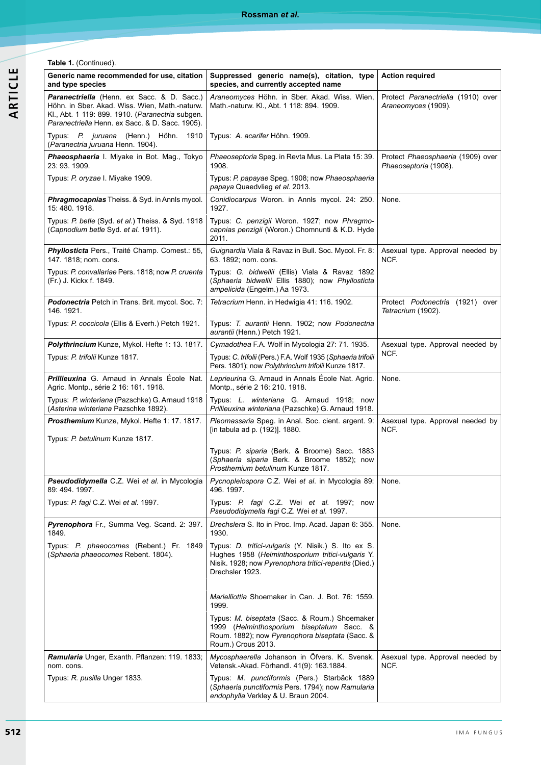**Table 1.** (Continued).

| Generic name recommended for use, citation<br>and type species                                                                                                                                      | Suppressed generic name(s), citation, type<br>species, and currently accepted name                                                                                                   | <b>Action required</b>                                     |
|-----------------------------------------------------------------------------------------------------------------------------------------------------------------------------------------------------|--------------------------------------------------------------------------------------------------------------------------------------------------------------------------------------|------------------------------------------------------------|
| Paranectriella (Henn. ex Sacc. & D. Sacc.)<br>Höhn. in Sber. Akad. Wiss. Wien, Math.-naturw.<br>Kl., Abt. 1 119: 899. 1910. (Paranectria subgen.<br>Paranectriella Henn. ex Sacc. & D. Sacc. 1905). | Araneomyces Höhn. in Sber. Akad. Wiss. Wien,<br>Math.-naturw. Kl., Abt. 1 118: 894. 1909.                                                                                            | Protect Paranectriella (1910) over<br>Araneomyces (1909).  |
| Typus: P. juruana (Henn.) Höhn. 1910<br>(Paranectria juruana Henn. 1904).                                                                                                                           | Typus: A. acarifer Höhn. 1909.                                                                                                                                                       |                                                            |
| Phaeosphaeria I. Miyake in Bot. Mag., Tokyo<br>23: 93. 1909.                                                                                                                                        | Phaeoseptoria Speg. in Revta Mus. La Plata 15: 39.<br>1908.                                                                                                                          | Protect Phaeosphaeria (1909) over<br>Phaeoseptoria (1908). |
| Typus: P. oryzae I. Miyake 1909.                                                                                                                                                                    | Typus: P. papayae Speg. 1908; now Phaeosphaeria<br>papaya Quaedvlieg et al. 2013.                                                                                                    |                                                            |
| Phragmocapnias Theiss. & Syd. in Annls mycol.<br>15:480.1918.                                                                                                                                       | Conidiocarpus Woron. in Annls mycol. 24: 250.<br>1927.                                                                                                                               | None.                                                      |
| Typus: P. betle (Syd. et al.) Theiss. & Syd. 1918<br>(Capnodium betle Syd. et al. 1911).                                                                                                            | Typus: C. penzigii Woron. 1927; now Phragmo-<br>capnias penzigii (Woron.) Chomnunti & K.D. Hyde<br>2011.                                                                             |                                                            |
| Phyllosticta Pers., Traité Champ. Comest.: 55,<br>147. 1818; nom. cons.                                                                                                                             | Guignardia Viala & Ravaz in Bull. Soc. Mycol. Fr. 8:<br>63. 1892; nom. cons.                                                                                                         | Asexual type. Approval needed by<br>NCF.                   |
| Typus: P. convallariae Pers. 1818; now P. cruenta<br>(Fr.) J. Kickx f. 1849.                                                                                                                        | Typus: G. bidwellii (Ellis) Viala & Ravaz 1892<br>(Sphaeria bidwellii Ellis 1880); now Phyllosticta<br>ampelicida (Engelm.) Aa 1973.                                                 |                                                            |
| Podonectria Petch in Trans. Brit. mycol. Soc. 7:<br>146. 1921.                                                                                                                                      | Tetracrium Henn. in Hedwigia 41: 116. 1902.                                                                                                                                          | Protect Podonectria (1921) over<br>Tetracrium (1902).      |
| Typus: P. coccicola (Ellis & Everh.) Petch 1921.                                                                                                                                                    | Typus: T. aurantii Henn. 1902; now Podonectria<br>aurantii (Henn.) Petch 1921.                                                                                                       |                                                            |
| Polythrincium Kunze, Mykol. Hefte 1: 13. 1817.                                                                                                                                                      | Cymadothea F.A. Wolf in Mycologia 27: 71. 1935.                                                                                                                                      | Asexual type. Approval needed by                           |
| Typus: P. trifolii Kunze 1817.                                                                                                                                                                      | Typus: C. trifolii (Pers.) F.A. Wolf 1935 (Sphaeria trifolii<br>Pers. 1801); now Polythrincium trifolii Kunze 1817.                                                                  | NCF.                                                       |
| <b>Prillieuxina</b> G. Arnaud in Annals École Nat.<br>Agric. Montp., série 2 16: 161. 1918.                                                                                                         | Leprieurina G. Arnaud in Annals École Nat. Agric.<br>Montp., série 2 16: 210. 1918.                                                                                                  | None.                                                      |
| Typus: P. winteriana (Pazschke) G. Arnaud 1918<br>(Asterina winteriana Pazschke 1892).                                                                                                              | Typus: L. winteriana G. Arnaud 1918; now<br>Prillieuxina winteriana (Pazschke) G. Arnaud 1918.                                                                                       |                                                            |
| Prosthemium Kunze, Mykol. Hefte 1: 17. 1817.                                                                                                                                                        | Pleomassaria Speg. in Anal. Soc. cient. argent. 9:<br>[in tabula ad p. (192)]. 1880.                                                                                                 | Asexual type. Approval needed by<br>NCF.                   |
| Typus: P. betulinum Kunze 1817.                                                                                                                                                                     | Typus: P. siparia (Berk. & Broome) Sacc. 1883<br>(Sphaeria siparia Berk. & Broome 1852); now<br>Prosthemium betulinum Kunze 1817.                                                    |                                                            |
| Pseudodidymella C.Z. Wei et al. in Mycologia<br>89: 494. 1997.                                                                                                                                      | Pycnopleiospora C.Z. Wei et al. in Mycologia 89:<br>496.1997.                                                                                                                        | None.                                                      |
| Typus: P. fagi C.Z. Wei et al. 1997.                                                                                                                                                                | Typus: P. fagi C.Z. Wei et al. 1997; now<br>Pseudodidymella fagi C.Z. Wei et al. 1997.                                                                                               |                                                            |
| Pyrenophora Fr., Summa Veg. Scand. 2: 397.<br>1849.                                                                                                                                                 | Drechslera S. Ito in Proc. Imp. Acad. Japan 6: 355.<br>1930.                                                                                                                         | None.                                                      |
| Typus: P. phaeocomes (Rebent.) Fr. 1849<br>(Sphaeria phaeocomes Rebent. 1804).                                                                                                                      | Typus: D. tritici-vulgaris (Y. Nisik.) S. Ito ex S.<br>Hughes 1958 (Helminthosporium tritici-vulgaris Y.<br>Nisik. 1928; now Pyrenophora tritici-repentis (Died.)<br>Drechsler 1923. |                                                            |
|                                                                                                                                                                                                     | Marielliottia Shoemaker in Can. J. Bot. 76: 1559.<br>1999.                                                                                                                           |                                                            |
|                                                                                                                                                                                                     | Typus: M. biseptata (Sacc. & Roum.) Shoemaker<br>1999 (Helminthosporium biseptatum Sacc. &<br>Roum. 1882); now Pyrenophora biseptata (Sacc. &<br>Roum.) Crous 2013.                  |                                                            |
| Ramularia Unger, Exanth. Pflanzen: 119. 1833;<br>nom. cons.                                                                                                                                         | Mycosphaerella Johanson in Öfvers. K. Svensk.<br>Vetensk.-Akad. Förhandl. 41(9): 163.1884.                                                                                           | Asexual type. Approval needed by<br>NCF.                   |
| Typus: R. pusilla Unger 1833.                                                                                                                                                                       | Typus: M. punctiformis (Pers.) Starbäck 1889<br>(Sphaeria punctiformis Pers. 1794); now Ramularia<br>endophylla Verkley & U. Braun 2004.                                             |                                                            |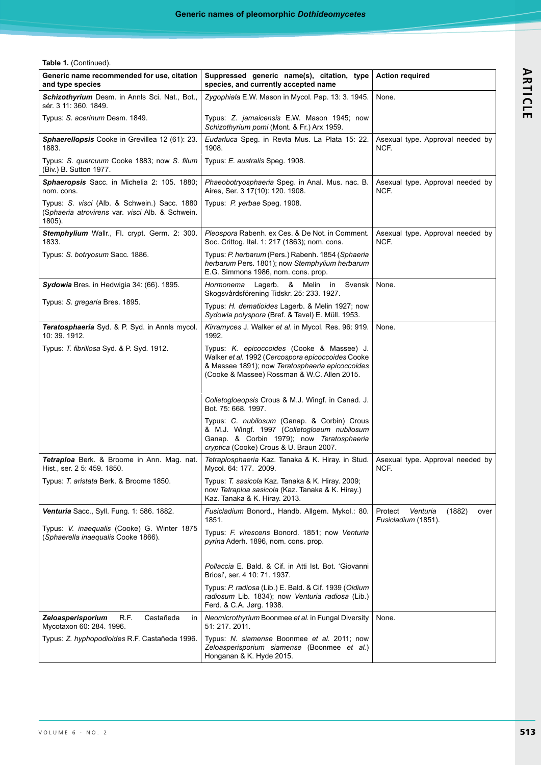**Table 1.** (Continued).

| Generic name recommended for use, citation<br>and type species                                               | Suppressed generic name(s), citation, type<br>species, and currently accepted name                                                                                                                | <b>Action required</b>                                       |
|--------------------------------------------------------------------------------------------------------------|---------------------------------------------------------------------------------------------------------------------------------------------------------------------------------------------------|--------------------------------------------------------------|
| Schizothyrium Desm. in Annls Sci. Nat., Bot.,<br>sér. 3 11: 360. 1849.                                       | Zygophiala E.W. Mason in Mycol. Pap. 13: 3. 1945.                                                                                                                                                 | None.                                                        |
| Typus: S. acerinum Desm. 1849.                                                                               | Typus: Z. jamaicensis E.W. Mason 1945; now<br>Schizothyrium pomi (Mont. & Fr.) Arx 1959.                                                                                                          |                                                              |
| Sphaerellopsis Cooke in Grevillea 12 (61): 23.<br>1883.                                                      | Eudarluca Speg. in Revta Mus. La Plata 15: 22.<br>1908.                                                                                                                                           | Asexual type. Approval needed by<br>NCF.                     |
| Typus: S. quercuum Cooke 1883; now S. filum<br>(Biv.) B. Sutton 1977.                                        | Typus: E. australis Speg. 1908.                                                                                                                                                                   |                                                              |
| Sphaeropsis Sacc. in Michelia 2: 105. 1880;<br>nom cons.                                                     | Phaeobotryosphaeria Speg. in Anal. Mus. nac. B.<br>Aires, Ser. 3 17(10): 120. 1908.                                                                                                               | Asexual type. Approval needed by<br>NCF.                     |
| Typus: S. visci (Alb. & Schwein.) Sacc. 1880<br>(Sphaeria atrovirens var. visci Alb. & Schwein.<br>$1805$ ). | Typus: P yerbae Speg. 1908.                                                                                                                                                                       |                                                              |
| Stemphylium Wallr., Fl. crypt. Germ. 2: 300.<br>1833.                                                        | Pleospora Rabenh. ex Ces. & De Not. in Comment.<br>Soc. Crittog. Ital. 1: 217 (1863); nom. cons.                                                                                                  | Asexual type. Approval needed by<br>NCF.                     |
| Typus: S. botryosum Sacc. 1886.                                                                              | Typus: P. herbarum (Pers.) Rabenh. 1854 (Sphaeria<br>herbarum Pers. 1801); now Stemphylium herbarum<br>E.G. Simmons 1986, nom. cons. prop.                                                        |                                                              |
| <b>Sydowia</b> Bres. in Hedwigia 34: (66). 1895.                                                             | Hormonema<br>Lagerb.<br>& Melin in<br>Svensk<br>Skogsvårdsförening Tidskr. 25: 233. 1927.                                                                                                         | None.                                                        |
| Typus: S. gregaria Bres. 1895.                                                                               | Typus: H. dematioides Lagerb. & Melin 1927; now<br>Sydowia polyspora (Bref. & Tavel) E. Müll. 1953.                                                                                               |                                                              |
| <b>Teratosphaeria</b> Syd. & P. Syd. in Annis mycol.<br>10:39.1912.                                          | Kirramyces J. Walker et al. in Mycol. Res. 96: 919.<br>1992.                                                                                                                                      | None.                                                        |
| Typus: T. fibrillosa Syd. & P. Syd. 1912.                                                                    | Typus: K. epicoccoides (Cooke & Massee) J.<br>Walker et al. 1992 (Cercospora epicoccoides Cooke<br>& Massee 1891); now Teratosphaeria epicoccoides<br>(Cooke & Massee) Rossman & W.C. Allen 2015. |                                                              |
|                                                                                                              | Colletogloeopsis Crous & M.J. Wingf. in Canad. J.<br>Bot. 75: 668. 1997.                                                                                                                          |                                                              |
|                                                                                                              | Typus: C. nubilosum (Ganap. & Corbin) Crous<br>& M.J. Wingf. 1997 (Colletogloeum nubilosum<br>Ganap. & Corbin 1979); now Teratosphaeria<br>cryptica (Cooke) Crous & U. Braun 2007.                |                                                              |
| Tetraploa Berk. & Broome in Ann. Mag. nat.<br>Hist., ser. 2 5: 459. 1850.                                    | Tetraplosphaeria Kaz. Tanaka & K. Hiray. in Stud.<br>Mycol. 64: 177. 2009.                                                                                                                        | Asexual type. Approval needed by<br>NCF.                     |
| Typus: T. aristata Berk. & Broome 1850.                                                                      | Typus: T. sasicola Kaz. Tanaka & K. Hiray. 2009;<br>now Tetraploa sasicola (Kaz. Tanaka & K. Hiray.)<br>Kaz. Tanaka & K. Hiray. 2013.                                                             |                                                              |
| Venturia Sacc., Syll. Fung. 1: 586. 1882.                                                                    | Fusicladium Bonord., Handb. Allgem. Mykol.: 80.<br>1851.                                                                                                                                          | Protect<br>Venturia<br>(1882)<br>over<br>Fusicladium (1851). |
| Typus: V. inaequalis (Cooke) G. Winter 1875<br>(Sphaerella inaequalis Cooke 1866).                           | Typus: F. virescens Bonord. 1851; now Venturia<br>pyrina Aderh. 1896, nom. cons. prop.                                                                                                            |                                                              |
|                                                                                                              | Pollaccia E. Bald. & Cif. in Atti Ist. Bot. 'Giovanni<br>Briosi', ser. 4 10: 71. 1937.                                                                                                            |                                                              |
|                                                                                                              | Typus: P. radiosa (Lib.) E. Bald. & Cif. 1939 (Oidium<br>radiosum Lib. 1834); now Venturia radiosa (Lib.)<br>Ferd. & C.A. Jørg. 1938.                                                             |                                                              |
| Zeloasperisporium<br>R.F.<br>Castañeda<br>in.<br>Mycotaxon 60: 284. 1996.                                    | Neomicrothyrium Boonmee et al. in Fungal Diversity<br>51:217.2011.                                                                                                                                | None.                                                        |
| Typus: Z. hyphopodioides R.F. Castañeda 1996.                                                                | Typus: N. siamense Boonmee et al. 2011; now<br>Zeloasperisporium siamense (Boonmee et al.)<br>Honganan & K. Hyde 2015.                                                                            |                                                              |

ARTICLE **ARTICLE**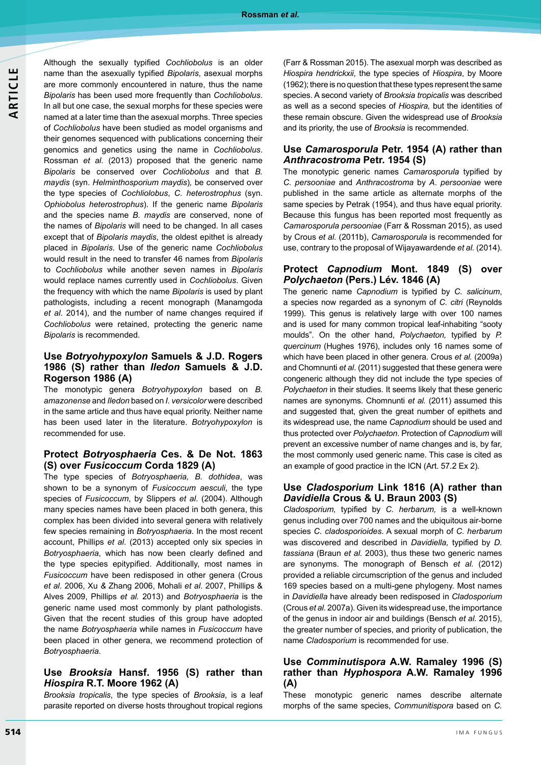Although the sexually typified *Cochliobolus* is an older name than the asexually typified *Bipolaris*, asexual morphs are more commonly encountered in nature, thus the name *Bipolaris* has been used more frequently than *Cochliobolus*. In all but one case, the sexual morphs for these species were named at a later time than the asexual morphs. Three species of *Cochliobolus* have been studied as model organisms and their genomes sequenced with publications concerning their genomics and genetics using the name in *Cochliobolus*. Rossman *et al.* (2013) proposed that the generic name *Bipolaris* be conserved over *Cochliobolus* and that *B. maydis* (syn. *Helminthosporium maydis*)*,* be conserved over the type species of *Cochliolobus*, *C. heterostrophus* (syn. *Ophiobolus heterostrophus*). If the generic name *Bipolaris* and the species name *B. maydis* are conserved, none of the names of *Bipolaris* will need to be changed. In all cases except that of *Bipolaris maydis*, the oldest epithet is already placed in *Bipolaris*. Use of the generic name *Cochliobolus* would result in the need to transfer 46 names from *Bipolaris* to *Cochliobolus* while another seven names in *Bipolaris* would replace names currently used in *Cochliobolus*. Given the frequency with which the name *Bipolaris* is used by plant pathologists, including a recent monograph (Manamgoda *et al*. 2014), and the number of name changes required if *Cochliobolus* were retained, protecting the generic name *Bipolaris* is recommended*.*

# **Use** *Botryohypoxylon* **Samuels & J.D. Rogers 1986 (S) rather than** *Iledon* **Samuels & J.D. Rogerson 1986 (A)**

The monotypic genera *Botryohypoxylon* based on *B. amazonense* and *Iledon* based on *I. versicolor* were described in the same article and thus have equal priority. Neither name has been used later in the literature. *Botryohypoxylon* is recommended for use.

#### **Protect** *Botryosphaeria* **Ces. & De Not. 1863 (S) over** *Fusicoccum* **Corda 1829 (A)**

The type species of *Botryosphaeria, B. dothidea*, was shown to be a synonym of *Fusicoccum aesculi*, the type species of *Fusicoccum*, by Slippers *et al*. (2004). Although many species names have been placed in both genera, this complex has been divided into several genera with relatively few species remaining in *Botryosphaeria*. In the most recent account, Phillips *et al*. (2013) accepted only six species in *Botryosphaeria*, which has now been clearly defined and the type species epitypified. Additionally, most names in *Fusicoccum* have been redisposed in other genera (Crous *et al*. 2006, Xu *&* Zhang 2006, Mohali *et al*. 2007, Phillips & Alves 2009, Phillips *et al.* 2013) and *Botryosphaeria* is the generic name used most commonly by plant pathologists. Given that the recent studies of this group have adopted the name *Botryosphaeria* while names in *Fusicoccum* have been placed in other genera, we recommend protection of *Botryosphaeria*.

### **Use** *Brooksia* **Hansf. 1956 (S) rather than**  *Hiospira* **R.T. Moore 1962 (A)**

*Brooksia tropicalis*, the type species of *Brooksia*, is a leaf parasite reported on diverse hosts throughout tropical regions

(Farr & Rossman 2015). The asexual morph was described as *Hiospira hendrickxii*, the type species of *Hiospira*, by Moore (1962); there is no question that these types represent the same species. A second variety of *Brooksia tropicalis* was described as well as a second species of *Hiospira,* but the identities of these remain obscure. Given the widespread use of *Brooksia* and its priority, the use of *Brooksia* is recommended.

### **Use** *Camarosporula* **Petr. 1954 (A) rather than**  *Anthracostroma* **Petr. 1954 (S)**

The monotypic generic names *Camarosporula* typified by *C. persooniae* and *Anthracostroma* by *A*. *persooniae* were published in the same article as alternate morphs of the same species by Petrak (1954), and thus have equal priority. Because this fungus has been reported most frequently as *Camarosporula persooniae* (Farr & Rossman 2015), as used by Crous *et al.* (2011b), *Camarosporula* is recommended for use, contrary to the proposal of Wijayawardende *et al.* (2014).

#### **Protect** *Capnodium* **Mont. 1849 (S) over**  *Polychaeton* **(Pers.) Lév. 1846 (A)**

The generic name *Capnodium* is typified by *C. salicinum*, a species now regarded as a synonym of *C. citri* (Reynolds 1999). This genus is relatively large with over 100 names and is used for many common tropical leaf-inhabiting "sooty moulds". On the other hand, *Polychaeton,* typified by *P. quercinum* (Hughes 1976), includes only 16 names some of which have been placed in other genera. Crous *et al.* (2009a) and Chomnunti *et al*. (2011) suggested that these genera were congeneric although they did not include the type species of *Polychaeton* in their studies. It seems likely that these generic names are synonyms. Chomnunti *et al.* (2011) assumed this and suggested that, given the great number of epithets and its widespread use, the name *Capnodium* should be used and thus protected over *Polychaeton*. Protection of *Capnodium* will prevent an excessive number of name changes and is, by far, the most commonly used generic name. This case is cited as an example of good practice in the ICN (Art. 57.2 Ex 2).

#### **Use** *Cladosporium* **Link 1816 (A) rather than**  *Davidiella* **Crous & U. Braun 2003 (S)**

*Cladosporium,* typified by *C. herbarum,* is a well-known genus including over 700 names and the ubiquitous air-borne species *C. cladosporioides*. A sexual morph of *C. herbarum* was discovered and described in *Davidiella,* typified by *D. tassiana* (Braun *et al.* 2003), thus these two generic names are synonyms. The monograph of Bensch *et al.* (2012) provided a reliable circumscription of the genus and included 169 species based on a multi-gene phylogeny. Most names in *Davidiella* have already been redisposed in *Cladosporium* (Crous *et al.* 2007a). Given its widespread use, the importance of the genus in indoor air and buildings (Bensch *et al.* 2015), the greater number of species, and priority of publication, the name *Cladosporium* is recommended for use.

# **Use** *Comminutispora* **A.W. Ramaley 1996 (S) rather than** *Hyphospora* **A.W. Ramaley 1996 (A)**

These monotypic generic names describe alternate morphs of the same species, *Communitispora* based on *C.*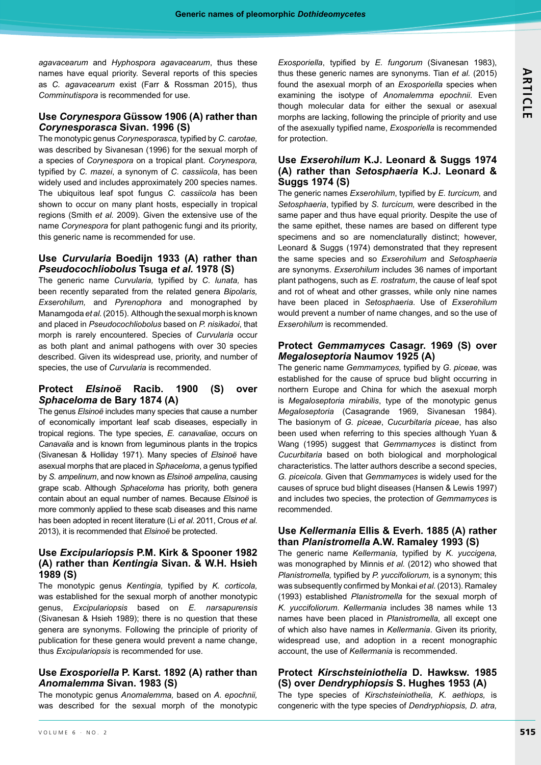*agavacearum* and *Hyphospora agavacearum*, thus these names have equal priority. Several reports of this species as *C. agavacearum* exist (Farr & Rossman 2015), thus *Comminutispora* is recommended for use.

### **Use** *Corynespora* **Güssow 1906 (A) rather than**  *Corynesporasca* **Sivan. 1996 (S)**

The monotypic genus *Corynesporasca,* typified by *C. carotae,* was described by Sivanesan (1996) for the sexual morph of a species of *Corynespora* on a tropical plant. *Corynespora,* typified by *C. mazei*, a synonym of *C. cassiicola*, has been widely used and includes approximately 200 species names. The ubiquitous leaf spot fungus *C. cassiicola* has been shown to occur on many plant hosts, especially in tropical regions (Smith *et al.* 2009). Given the extensive use of the name *Corynespora* for plant pathogenic fungi and its priority, this generic name is recommended for use.

### **Use** *Curvularia* **Boedijn 1933 (A) rather than**  *Pseudocochliobolus* **Tsuga** *et al.* **1978 (S)**

The generic name *Curvularia,* typified by *C. lunata,* has been recently separated from the related genera *Bipolaris, Exserohilum,* and *Pyrenophora* and monographed by Manamgoda *et al.* (2015). Although the sexual morph is known and placed in *Pseudocochliobolus* based on *P. nisikadoi*, that morph is rarely encountered. Species of *Curvularia* occur as both plant and animal pathogens with over 30 species described. Given its widespread use, priority, and number of species, the use of *Curvularia* is recommended.

# **Protect** *Elsinoë* **Racib. 1900 (S) over**  *Sphaceloma* **de Bary 1874 (A)**

The genus *Elsinoë* includes many species that cause a number of economically important leaf scab diseases, especially in tropical regions. The type species, *E. canavaliae*, occurs on *Canavalia* and is known from leguminous plants in the tropics (Sivanesan & Holliday 1971). Many species of *Elsinoë* have asexual morphs that are placed in *Sphaceloma*, a genus typified by *S. ampelinum*, and now known as *Elsinoë ampelina*, causing grape scab. Although *Sphaceloma* has priority, both genera contain about an equal number of names. Because *Elsinoë* is more commonly applied to these scab diseases and this name has been adopted in recent literature (Li *et al*. 2011, Crous *et al*. 2013), it is recommended that *Elsinoë* be protected.

# **Use** *Excipulariopsis* **P.M. Kirk & Spooner 1982 (A) rather than** *Kentingia* **Sivan. & W.H. Hsieh 1989 (S)**

The monotypic genus *Kentingia,* typified by *K. corticola,* was established for the sexual morph of another monotypic genus, *Excipulariopsis* based on *E. narsapurensis* (Sivanesan & Hsieh 1989); there is no question that these genera are synonyms. Following the principle of priority of publication for these genera would prevent a name change, thus *Excipulariopsis* is recommended for use.

# **Use** *Exosporiella* **P. Karst. 1892 (A) rather than**  *Anomalemma* **Sivan. 1983 (S)**

The monotypic genus *Anomalemma,* based on *A. epochnii,* was described for the sexual morph of the monotypic *Exosporiella*, typified by *E. fungorum* (Sivanesan 1983), thus these generic names are synonyms. Tian *et al.* (2015) found the asexual morph of an *Exosporiella* species when examining the isotype of *Anomalemma epochnii*. Even though molecular data for either the sexual or asexual morphs are lacking, following the principle of priority and use of the asexually typified name, *Exosporiella* is recommended for protection.

# **Use** *Exserohilum* **K.J. Leonard & Suggs 1974 (A) rather than** *Setosphaeria* **K.J. Leonard & Suggs 1974 (S)**

The generic names *Exserohilum*, typified by *E. turcicum,* and *Setosphaeria*, typified by *S. turcicum,* were described in the same paper and thus have equal priority. Despite the use of the same epithet, these names are based on different type specimens and so are nomenclaturally distinct; however, Leonard & Suggs (1974) demonstrated that they represent the same species and so *Exserohilum* and *Setosphaeria* are synonyms. *Exserohilum* includes 36 names of important plant pathogens, such as *E. rostratum*, the cause of leaf spot and rot of wheat and other grasses, while only nine names have been placed in *Setosphaeria*. Use of *Exserohilum* would prevent a number of name changes, and so the use of *Exserohilum* is recommended.

# **Protect** *Gemmamyces* **Casagr. 1969 (S) over**  *Megaloseptoria* **Naumov 1925 (A)**

The generic name *Gemmamyces,* typified by *G. piceae,* was established for the cause of spruce bud blight occurring in northern Europe and China for which the asexual morph is *Megaloseptoria mirabilis*, type of the monotypic genus *Megaloseptoria* (Casagrande 1969, Sivanesan 1984). The basionym of *G. piceae*, *Cucurbitaria piceae*, has also been used when referring to this species although Yuan & Wang (1995) suggest that *Gemmamyces* is distinct from *Cucurbitaria* based on both biological and morphological characteristics. The latter authors describe a second species, *G. piceicola*. Given that *Gemmamyces* is widely used for the causes of spruce bud blight diseases (Hansen & Lewis 1997) and includes two species, the protection of *Gemmamyces* is recommended.

# **Use** *Kellermania* **Ellis & Everh. 1885 (A) rather than** *Planistromella* **A.W. Ramaley 1993 (S)**

The generic name *Kellermania,* typified by *K. yuccigena,* was monographed by Minnis *et al.* (2012) who showed that *Planistromella,* typified by *P. yuccifoliorum,* is a synonym; this was subsequently confirmed by Monkai *et al.* (2013). Ramaley (1993) established *Planistromella* for the sexual morph of *K. yuccifoliorum*. *Kellermania* includes 38 names while 13 names have been placed in *Planistromella,* all except one of which also have names in *Kellermania*. Given its priority, widespread use, and adoption in a recent monographic account, the use of *Kellermania* is recommended.

# **Protect** *Kirschsteiniothelia* **D. Hawksw. 1985 (S) over** *Dendryphiopsis* **S. Hughes 1953 (A)**

The type species of *Kirschsteiniothelia, K. aethiops,* is congeneric with the type species of *Dendryphiopsis, D. atra,*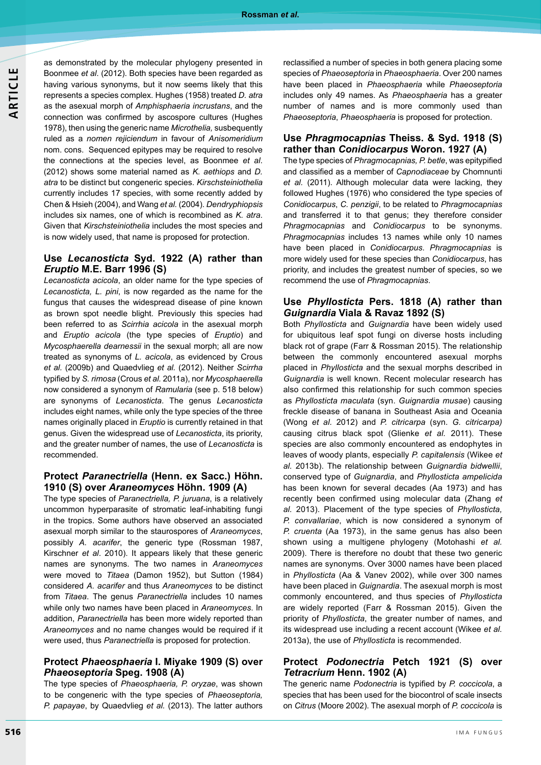as demonstrated by the molecular phylogeny presented in Boonmee *et al*. (2012). Both species have been regarded as having various synonyms, but it now seems likely that this represents a species complex. Hughes (1958) treated *D. atra*  as the asexual morph of *Amphisphaeria incrustans*, and the connection was confirmed by ascospore cultures (Hughes 1978), then using the generic name *Microthelia,* susbequently ruled as a *nomen rejiciendum* in favour of *Anisomeridium* nom. cons. Sequenced epitypes may be required to resolve the connections at the species level, as Boonmee *et al*. (2012) shows some material named as *K. aethiops* and *D. atra* to be distinct but congeneric species. *Kirschsteiniothelia* currently includes 17 species, with some recently added by Chen & Hsieh (2004), and Wang *et al.* (2004). *Dendryphiopsis* includes six names, one of which is recombined as *K. atra*. Given that *Kirschsteiniothelia* includes the most species and is now widely used, that name is proposed for protection.

# **Use** *Lecanosticta* **Syd. 1922 (A) rather than**  *Eruptio* **M.E. Barr 1996 (S)**

*Lecanosticta acicola*, an older name for the type species of *Lecanosticta, L. pini*, is now regarded as the name for the fungus that causes the widespread disease of pine known as brown spot needle blight. Previously this species had been referred to as *Scirrhia acicola* in the asexual morph and *Eruptio acicola* (the type species of *Eruptio*) and *Mycosphaerella dearnessii* in the sexual morph; all are now treated as synonyms of *L. acicola*, as evidenced by Crous *et al.* (2009b) and Quaedvlieg *et al.* (2012). Neither *Scirrha* typified by *S. rimosa* (Crous *et al.* 2011a), nor *Mycosphaerella* now considered a synonym of *Ramularia* (see p. 518 below) are synonyms of *Lecanosticta*. The genus *Lecanosticta* includes eight names, while only the type species of the three names originally placed in *Eruptio* is currently retained in that genus. Given the widespread use of *Lecanosticta*, its priority, and the greater number of names, the use of *Lecanosticta* is recommended.

#### **Protect** *Paranectriella* **(Henn. ex Sacc.) Höhn. 1910 (S) over** *Araneomyces* **Höhn. 1909 (A)**

The type species of *Paranectriella, P. juruana*, is a relatively uncommon hyperparasite of stromatic leaf-inhabiting fungi in the tropics. Some authors have observed an associated asexual morph similar to the staurospores of *Araneomyces*, possibly *A. acarifer*, the generic type (Rossman 1987, Kirschner *et al*. 2010). It appears likely that these generic names are synonyms. The two names in *Araneomyces* were moved to *Titaea* (Damon 1952), but Sutton (1984) considered *A. acarifer* and thus *Araneomyces* to be distinct from *Titaea*. The genus *Paranectriella* includes 10 names while only two names have been placed in *Araneomyces*. In addition, *Paranectriella* has been more widely reported than *Araneomyces* and no name changes would be required if it were used, thus *Paranectriella* is proposed for protection.

#### **Protect** *Phaeosphaeria* **I. Miyake 1909 (S) over**  *Phaeoseptoria* **Speg. 1908 (A)**

The type species of *Phaeosphaeria, P. oryzae*, was shown to be congeneric with the type species of *Phaeoseptoria, P. papayae*, by Quaedvlieg *et al.* (2013). The latter authors reclassified a number of species in both genera placing some species of *Phaeoseptoria* in *Phaeosphaeria*. Over 200 names have been placed in *Phaeosphaeria* while *Phaeoseptoria* includes only 49 names. As *Phaeosphaeria* has a greater number of names and is more commonly used than *Phaeoseptoria*, *Phaeosphaeria* is proposed for protection.

#### **Use** *Phragmocapnias* **Theiss. & Syd. 1918 (S) rather than** *Conidiocarpus* **Woron. 1927 (A)**

The type species of *Phragmocapnias, P. betle*, was epitypified and classified as a member of *Capnodiaceae* by Chomnunti *et al.* (2011). Although molecular data were lacking, they followed Hughes (1976) who considered the type species of *Conidiocarpus*, *C. penzigii*, to be related to *Phragmocapnias* and transferred it to that genus; they therefore consider *Phragmocapnias* and *Conidiocarpus* to be synonyms. *Phragmocapnias* includes 13 names while only 10 names have been placed in *Conidiocarpus*. *Phragmocapnias* is more widely used for these species than *Conidiocarpus*, has priority, and includes the greatest number of species, so we recommend the use of *Phragmocapnias*.

#### **Use** *Phyllosticta* **Pers. 1818 (A) rather than**  *Guignardia* **Viala & Ravaz 1892 (S)**

Both *Phyllosticta* and *Guignardia* have been widely used for ubiquitous leaf spot fungi on diverse hosts including black rot of grape (Farr & Rossman 2015). The relationship between the commonly encountered asexual morphs placed in *Phyllosticta* and the sexual morphs described in *Guignardia* is well known. Recent molecular research has also confirmed this relationship for such common species as *Phyllosticta maculata* (syn. *Guignardia musae*) causing freckle disease of banana in Southeast Asia and Oceania (Wong *et al.* 2012) and *P. citricarpa* (syn. *G. citricarpa)* causing citrus black spot (Glienke *et al.* 2011). These species are also commonly encountered as endophytes in leaves of woody plants, especially *P. capitalensis* (Wikee *et al.* 2013b). The relationship between *Guignardia bidwellii*, conserved type of *Guignardia*, and *Phyllosticta ampelicida* has been known for several decades (Aa 1973) and has recently been confirmed using molecular data (Zhang *et al.* 2013). Placement of the type species of *Phyllosticta, P. convallariae*, which is now considered a synonym of *P. cruenta* (Aa 1973), in the same genus has also been shown using a multigene phylogeny (Motohashi *et al.* 2009). There is therefore no doubt that these two generic names are synonyms. Over 3000 names have been placed in *Phyllosticta* (Aa & Vanev 2002), while over 300 names have been placed in *Guignardia*. The asexual morph is most commonly encountered, and thus species of *Phyllosticta* are widely reported (Farr & Rossman 2015). Given the priority of *Phyllosticta*, the greater number of names, and its widespread use including a recent account (Wikee *et al.* 2013a), the use of *Phyllosticta* is recommended.

#### **Protect** *Podonectria* **Petch 1921 (S) over**  *Tetracrium* **Henn. 1902 (A)**

The generic name *Podonectria* is typified by *P. coccicola*, a species that has been used for the biocontrol of scale insects on *Citrus* (Moore 2002). The asexual morph of *P. coccicola* is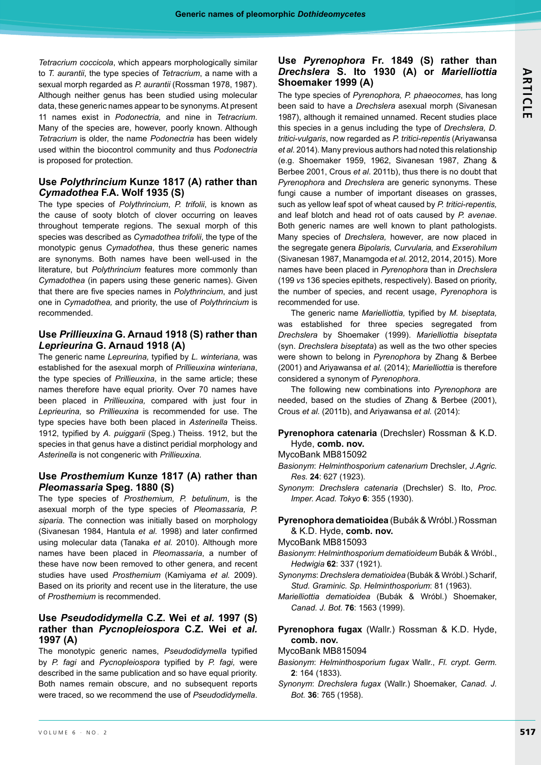*Tetracrium coccicola*, which appears morphologically similar to *T. aurantii*, the type species of *Tetracrium*, a name with a sexual morph regarded as *P. aurantii* (Rossman 1978, 1987). Although neither genus has been studied using molecular data, these generic names appear to be synonyms. At present 11 names exist in *Podonectria,* and nine in *Tetracrium*. Many of the species are, however, poorly known. Although *Tetracrium* is older, the name *Podonectria* has been widely used within the biocontrol community and thus *Podonectria* is proposed for protection.

# **Use** *Polythrincium* **Kunze 1817 (A) rather than**  *Cymadothea* **F.A. Wolf 1935 (S)**

The type species of *Polythrincium*, *P. trifolii*, is known as the cause of sooty blotch of clover occurring on leaves throughout temperate regions. The sexual morph of this species was described as *Cymadothea trifolii*, the type of the monotypic genus *Cymadothea*, thus these generic names are synonyms. Both names have been well-used in the literature, but *Polythrincium* features more commonly than *Cymadothea* (in papers using these generic names). Given that there are five species names in *Polythrincium*, and just one in *Cymadothea,* and priority, the use of *Polythrincium* is recommended.

# **Use** *Prillieuxina* **G. Arnaud 1918 (S) rather than**  *Leprieurina* **G. Arnaud 1918 (A)**

The generic name *Lepreurina,* typified by *L. winteriana,* was established for the asexual morph of *Prillieuxina winteriana*, the type species of *Prillieuxina*, in the same article; these names therefore have equal priority. Over 70 names have been placed in *Prillieuxina,* compared with just four in *Leprieurina,* so *Prillieuxina* is recommended for use. The type species have both been placed in *Asterinella* Theiss. 1912, typified by *A. puiggarii* (Speg.) Theiss. 1912, but the species in that genus have a distinct peridial morphology and *Asterinella* is not congeneric with *Prillieuxina.*

# **Use** *Prosthemium* **Kunze 1817 (A) rather than**  *Pleomassaria* **Speg. 1880 (S)**

The type species of *Prosthemium, P. betulinum*, is the asexual morph of the type species of *Pleomassaria, P. siparia.* The connection was initially based on morphology (Sivanesan 1984, Hantula *et al.* 1998) and later confirmed using molecular data (Tanaka *et al.* 2010). Although more names have been placed in *Pleomassaria*, a number of these have now been removed to other genera, and recent studies have used *Prosthemium* (Kamiyama *et al.* 2009). Based on its priority and recent use in the literature, the use of *Prosthemium* is recommended.

# **Use** *Pseudodidymella* **C.Z. Wei** *et al.* **1997 (S) rather than** *Pycnopleiospora* **C.Z. Wei** *et al.* **1997 (A)**

The monotypic generic names, *Pseudodidymella* typified by *P. fagi* and *Pycnopleiospora* typified by *P. fagi,* were described in the same publication and so have equal priority. Both names remain obscure, and no subsequent reports were traced, so we recommend the use of *Pseudodidymella*.

# **Use** *Pyrenophora* **Fr. 1849 (S) rather than**  *Drechslera* **S. Ito 1930 (A) or** *Marielliottia* **Shoemaker 1999 (A)**

The type species of *Pyrenophora, P. phaeocomes*, has long been said to have a *Drechslera* asexual morph (Sivanesan 1987), although it remained unnamed. Recent studies place this species in a genus including the type of *Drechslera, D. tritici-vulgaris*, now regarded as *P. tritici-repentis* (Ariyawansa *et al.* 2014). Many previous authors had noted this relationship (e.g. Shoemaker 1959, 1962, Sivanesan 1987, Zhang & Berbee 2001, Crous *et al*. 2011b), thus there is no doubt that *Pyrenophora* and *Drechslera* are generic synonyms. These fungi cause a number of important diseases on grasses, such as yellow leaf spot of wheat caused by *P. tritici-repentis,* and leaf blotch and head rot of oats caused by *P. avenae*. Both generic names are well known to plant pathologists. Many species of *Drechslera,* however*,* are now placed in the segregate genera *Bipolaris, Curvularia,* and *Exserohilum* (Sivanesan 1987, Manamgoda *et al.* 2012, 2014, 2015). More names have been placed in *Pyrenophora* than in *Drechslera*  (199 *vs* 136 species epithets, respectively). Based on priority, the number of species, and recent usage, *Pyrenophora* is recommended for use.

The generic name *Marielliottia,* typified by *M. biseptata,* was established for three species segregated from *Drechslera* by Shoemaker (1999). *Marielliottia biseptata* (syn. *Drechslera biseptata*) as well as the two other species were shown to belong in *Pyrenophora* by Zhang & Berbee (2001) and Ariyawansa *et al.* (2014); *Marielliottia* is therefore considered a synonym of *Pyrenophora*.

The following new combinations into *Pyrenophora* are needed, based on the studies of Zhang & Berbee (2001), Crous *et al.* (2011b), and Ariyawansa *et al.* (2014):

**Pyrenophora catenaria** (Drechsler) Rossman & K.D. Hyde, **comb. nov.**

MycoBank MB815092

- *Basionym*: *Helminthosporium catenarium* Drechsler, *J.Agric. Res.* **24**: 627 (1923).
- *Synonym*: *Drechslera catenaria* (Drechsler) S. Ito, *Proc. Imper. Acad. Tokyo* **6**: 355 (1930).

# **Pyrenophora dematioidea** (Bubák & Wróbl.) Rossman & K.D. Hyde, **comb. nov.**

MycoBank MB815093

- *Basionym*: *Helminthosporium dematioideum* Bubák & Wróbl., *Hedwigia* **62**: 337 (1921).
- *Synonyms*: *Drechslera dematioidea* (Bubák & Wróbl.) Scharif, *Stud. Graminic. Sp. Helminthosporium*: 81 (1963).
- *Marielliottia dematioidea* (Bubák & Wróbl.) Shoemaker, *Canad. J. Bot.* **76**: 1563 (1999).

# **Pyrenophora fugax** (Wallr.) Rossman & K.D. Hyde, **comb. nov.**

MycoBank MB815094

- *Basionym*: *Helminthosporium fugax* Wallr., *Fl. crypt. Germ.* **2**: 164 (1833).
- *Synonym*: *Drechslera fugax* (Wallr.) Shoemaker, *Canad. J. Bot.* **36**: 765 (1958).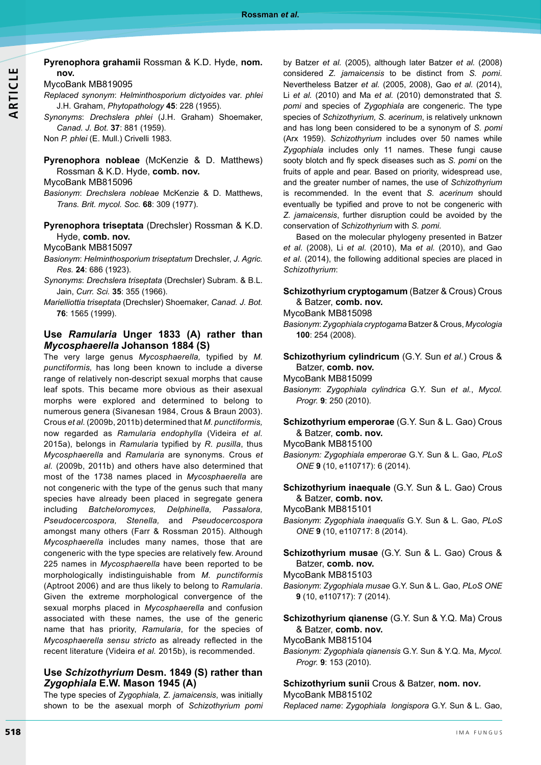#### **Pyrenophora grahamii** Rossman & K.D. Hyde, **nom. nov.**

MycoBank MB819095

*Replaced synonym*: *Helminthosporium dictyoides* var. *phlei* J.H. Graham, *Phytopathology* **45**: 228 (1955).

*Synonyms*: *Drechslera phlei* (J.H. Graham) Shoemaker, *Canad. J. Bot.* **37**: 881 (1959).

Non *P. phlei* (E. Mull.) Crivelli 1983.

#### **Pyrenophora nobleae** (McKenzie & D. Matthews) Rossman & K.D. Hyde, **comb. nov.**

MycoBank MB815096

*Basionym*: *Drechslera nobleae* McKenzie & D. Matthews, *Trans. Brit. mycol. Soc.* **68**: 309 (1977).

# **Pyrenophora triseptata** (Drechsler) Rossman & K.D. Hyde, **comb. nov.**

MycoBank MB815097

- *Basionym*: *Helminthosporium triseptatum* Drechsler, *J. Agric. Res.* **24**: 686 (1923).
- *Synonyms*: *Drechslera triseptata* (Drechsler) Subram. & B.L. Jain, *Curr. Sci.* **35**: 355 (1966).
- *Marielliottia triseptata* (Drechsler) Shoemaker, *Canad. J. Bot.* **76**: 1565 (1999).

# **Use** *Ramularia* **Unger 1833 (A) rather than**  *Mycosphaerella* **Johanson 1884 (S)**

The very large genus *Mycosphaerella,* typified by *M. punctiformis,* has long been known to include a diverse range of relatively non-descript sexual morphs that cause leaf spots. This became more obvious as their asexual morphs were explored and determined to belong to numerous genera (Sivanesan 1984, Crous & Braun 2003). Crous *et al.* (2009b, 2011b) determined that *M. punctiformis,* now regarded as *Ramularia endophylla* (Videira *et al.* 2015a), belongs in *Ramularia* typified by *R. pusilla*, thus *Mycosphaerella* and *Ramularia* are synonyms*.* Crous *et al.* (2009b, 2011b) and others have also determined that most of the 1738 names placed in *Mycosphaerella* are not congeneric with the type of the genus such that many species have already been placed in segregate genera including *Batcheloromyces, Delphinella, Passalora, Pseudocercospora, Stenella,* and *Pseudocercospora* amongst many others (Farr & Rossman 2015). Although *Mycosphaerella* includes many names, those that are congeneric with the type species are relatively few. Around 225 names in *Mycosphaerella* have been reported to be morphologically indistinguishable from *M. punctiformis* (Aptroot 2006) and are thus likely to belong to *Ramularia*. Given the extreme morphological convergence of the sexual morphs placed in *Mycosphaerella* and confusion associated with these names, the use of the generic name that has priority, *Ramularia*, for the species of *Mycosphaerella sensu stricto* as already reflected in the recent literature (Videira *et al.* 2015b), is recommended.

# **Use** *Schizothyrium* **Desm. 1849 (S) rather than**  *Zygophiala* **E.W. Mason 1945 (A)**

The type species of *Zygophiala, Z. jamaicensis*, was initially shown to be the asexual morph of *Schizothyrium pomi* by Batzer *et al.* (2005), although later Batzer *et al.* (2008) considered *Z. jamaicensis* to be distinct from *S. pomi*. Nevertheless Batzer *et al.* (2005, 2008), Gao *et al.* (2014), Li *et al.* (2010) and Ma *et al.* (2010) demonstrated that *S. pomi* and species of *Zygophiala* are congeneric. The type species of *Schizothyrium, S. acerinum*, is relatively unknown and has long been considered to be a synonym of *S. pomi*  (Arx 1959). *Schizothyrium* includes over 50 names while *Zygophiala* includes only 11 names. These fungi cause sooty blotch and fly speck diseases such as *S. pomi* on the fruits of apple and pear. Based on priority, widespread use, and the greater number of names, the use of *Schizothyrium*  is recommended. In the event that *S. acerinum* should eventually be typified and prove to not be congeneric with *Z. jamaicensis*, further disruption could be avoided by the conservation of *Schizothyrium* with *S. pomi.*

Based on the molecular phylogeny presented in Batzer *et al.* (2008), Li *et al.* (2010), Ma *et al.* (2010), and Gao *et al.* (2014), the following additional species are placed in *Schizothyrium*:

# **Schizothyrium cryptogamum** (Batzer & Crous) Crous & Batzer, **comb. nov.**

MycoBank MB815098

*Basionym*: *Zygophiala cryptogama* Batzer & Crous, *Mycologia* **100**: 254 (2008).

**Schizothyrium cylindricum** (G.Y. Sun *et al.*) Crous & Batzer, **comb. nov.**

- MycoBank MB815099
- *Basionym*: *Zygophiala cylindrica* G.Y. Sun *et al.*, *Mycol. Progr.* **9**: 250 (2010).

# **Schizothyrium emperorae** (G.Y. Sun & L. Gao) Crous & Batzer, **comb. nov.**

MycoBank MB815100

- *Basionym: Zygophiala emperorae* G.Y. Sun & L. Gao, *PLoS ONE* **9** (10, e110717): 6 (2014).
- **Schizothyrium inaequale** (G.Y. Sun & L. Gao) Crous & Batzer, **comb. nov.**

MycoBank MB815101

- *Basionym*: *Zygophiala inaequalis* G.Y. Sun & L. Gao, *PLoS ONE* **9** (10, e110717: 8 (2014).
- **Schizothyrium musae** (G.Y. Sun & L. Gao) Crous & Batzer, **comb. nov.**

MycoBank MB815103

*Basionym*: *Zygophiala musae* G.Y. Sun & L. Gao, *PLoS ONE* **9** (10, e110717): 7 (2014).

**Schizothyrium qianense** (G.Y. Sun & Y.Q. Ma) Crous & Batzer, **comb. nov.**

MycoBank MB815104

*Basionym: Zygophiala qianensis* G.Y. Sun & Y.Q. Ma, *Mycol. Progr.* **9**: 153 (2010).

**Schizothyrium sunii** Crous & Batzer, **nom. nov***.* MycoBank MB815102

*Replaced name*: *Zygophiala longispora* G.Y. Sun & L. Gao,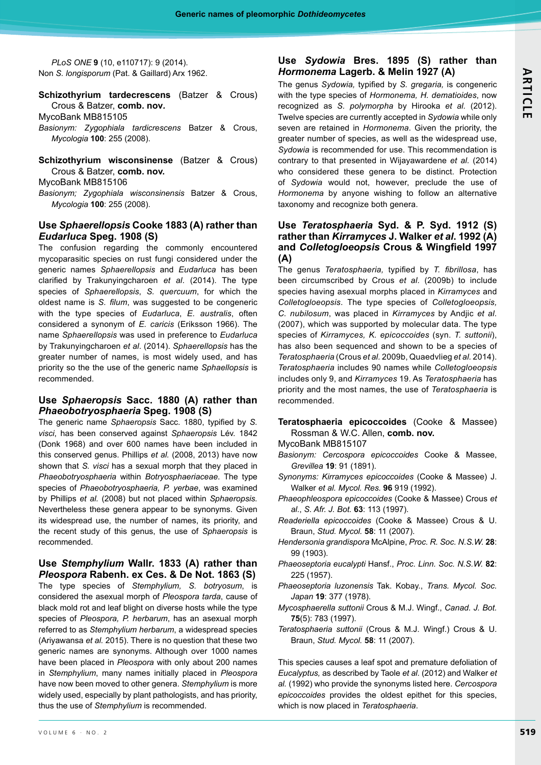*PLoS ONE* **9** (10, e110717): 9 (2014). Non *S. longisporum* (Pat. & Gaillard) Arx 1962.

**Schizothyrium tardecrescens** (Batzer & Crous) Crous & Batzer, **comb. nov***.*

MycoBank MB815105

- *Basionym: Zygophiala tardicrescens* Batzer & Crous, *Mycologia* **100**: 255 (2008).
- **Schizothyrium wisconsinense** (Batzer & Crous) Crous & Batzer, **comb. nov.**

MycoBank MB815106

*Basionym; Zygophiala wisconsinensis* Batzer & Crous, *Mycologia* **100**: 255 (2008).

# **Use** *Sphaerellopsis* **Cooke 1883 (A) rather than**  *Eudarluca* **Speg. 1908 (S)**

The confusion regarding the commonly encountered mycoparasitic species on rust fungi considered under the generic names *Sphaerellopsis* and *Eudarluca* has been clarified by Trakunyingcharoen *et al*. (2014). The type species of *Sphaerellopsis*, *S. quercuum*, for which the oldest name is *S. filum*, was suggested to be congeneric with the type species of *Eudarluca*, *E. australis*, often considered a synonym of *E. caricis* (Eriksson 1966). The name *Sphaerellopsis* was used in preference to *Eudarluca* by Trakunyingcharoen *et al*. (2014). *Sphaerellopsis* has the greater number of names, is most widely used, and has priority so the the use of the generic name *Sphaellopsis* is recommended.

#### **Use** *Sphaeropsis* **Sacc. 1880 (A) rather than**  *Phaeobotryosphaeria* **Speg. 1908 (S)**

The generic name *Sphaeropsis* Sacc. 1880, typified by *S. visci*, has been conserved against *Sphaeropsis* Lév. 1842 (Donk 1968) and over 600 names have been included in this conserved genus. Phillips *et al.* (2008, 2013) have now shown that *S. visci* has a sexual morph that they placed in *Phaeobotryosphaeria* within *Botryosphaeriaceae*. The type species of *Phaeobotryosphaeria, P. yerbae*, was examined by Phillips *et al.* (2008) but not placed within *Sphaeropsis.*  Nevertheless these genera appear to be synonyms. Given its widespread use, the number of names, its priority, and the recent study of this genus, the use of *Sphaeropsis* is recommended.

**Use** *Stemphylium* **Wallr. 1833 (A) rather than**  *Pleospora* **Rabenh. ex Ces. & De Not. 1863 (S)**

The type species of *Stemphylium, S. botryosum*, is considered the asexual morph of *Pleospora tarda*, cause of black mold rot and leaf blight on diverse hosts while the type species of *Pleospora, P. herbarum*, has an asexual morph referred to as *Stemphylium herbarum*, a widespread species (Ariyawansa *et al.* 2015). There is no question that these two generic names are synonyms. Although over 1000 names have been placed in *Pleospora* with only about 200 names in *Stemphylium*, many names initially placed in *Pleospora* have now been moved to other genera. *Stemphylium* is more widely used, especially by plant pathologists, and has priority, thus the use of *Stemphylium* is recommended.

# **Use** *Sydowia* **Bres. 1895 (S) rather than**  *Hormonema* **Lagerb. & Melin 1927 (A)**

The genus *Sydowia,* typified by *S. gregaria,* is congeneric with the type species of *Hormonema, H. dematioides*, now recognized as *S. polymorpha* by Hirooka *et al.* (2012). Twelve species are currently accepted in *Sydowia* while only seven are retained in *Hormonema*. Given the priority, the greater number of species, as well as the widespread use, *Sydowia* is recommended for use. This recommendation is contrary to that presented in Wijayawardene *et al.* (2014) who considered these genera to be distinct. Protection of *Sydowia* would not, however, preclude the use of *Hormonema* by anyone wishing to follow an alternative taxonomy and recognize both genera.

# **Use** *Teratosphaeria* **Syd. & P. Syd. 1912 (S) rather than** *Kirramyces* **J. Walker** *et al***. 1992 (A) and** *Colletogloeopsis* **Crous & Wingfield 1997 (A)**

The genus *Teratosphaeria,* typified by *T. fibrillosa*, has been circumscribed by Crous *et al.* (2009b) to include species having asexual morphs placed in *Kirramyces* and *Colletogloeopsis*. The type species of *Colletogloeopsis, C. nubilosum*, was placed in *Kirramyces* by Andjic *et al.* (2007), which was supported by molecular data. The type species of *Kirramyces, K. epicoccoides* (syn. *T. suttonii*), has also been sequenced and shown to be a species of *Teratosphaeria* (Crous *et al.* 2009b, Quaedvlieg *et al.* 2014). *Teratosphaeria* includes 90 names while *Colletogloeopsis* includes only 9, and *Kirramyces* 19. As *Teratosphaeria* has priority and the most names, the use of *Teratosphaeria* is recommended.

- **Teratosphaeria epicoccoides** (Cooke & Massee) Rossman & W.C. Allen, **comb. nov.**
- MycoBank MB815107
- *Basionym: Cercospora epicoccoides* Cooke & Massee, *Grevillea* **19**: 91 (1891).
- *Synonyms: Kirramyces epicoccoides* (Cooke & Massee) J. Walker *et al. Mycol. Res.* **96** 919 (1992).
- *Phaeophleospora epicoccoides* (Cooke & Massee) Crous *et al.*, *S. Afr. J. Bot.* **63**: 113 (1997).
- *Readeriella epicoccoides* (Cooke & Massee) Crous & U. Braun, *Stud. Mycol.* **58**: 11 (2007).
- *Hendersonia grandispora* McAlpine, *Proc. R. Soc. N.S.W.* **28**: 99 (1903).
- *Phaeoseptoria eucalypti* Hansf., *Proc. Linn. Soc. N.S.W.* **82**: 225 (1957).
- *Phaeoseptoria luzonensis* Tak. Kobay., *Trans. Mycol. Soc. Japan* **19**: 377 (1978).
- *Mycosphaerella suttonii* Crous & M.J. Wingf., *Canad. J. Bot.* **75**(5): 783 (1997).
- *Teratosphaeria suttonii* (Crous & M.J. Wingf.) Crous & U. Braun, *Stud. Mycol.* **58**: 11 (2007).

This species causes a leaf spot and premature defoliation of *Eucalyptus,* as described by Taole *et al.* (2012) and Walker *et al.* (1992) who provide the synonyms listed here. *Cercospora epicoccoides* provides the oldest epithet for this species, which is now placed in *Teratosphaeria*.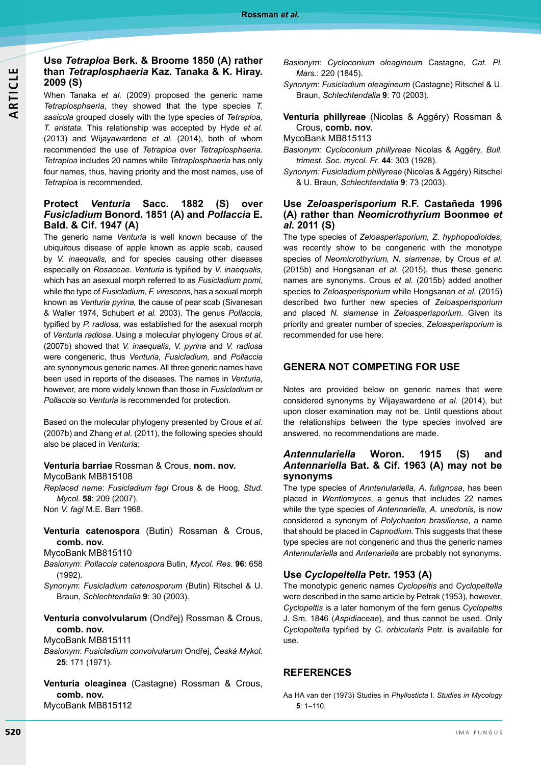# **Use** *Tetraploa* **Berk. & Broome 1850 (A) rather than** *Tetraplosphaeria* **Kaz. Tanaka & K. Hiray. 2009 (S)**

When Tanaka *et al.* (2009) proposed the generic name *Tetraplosphaeria*, they showed that the type species *T. sasicola* grouped closely with the type species of *Tetraploa, T. aristata.* This relationship was accepted by Hyde *et al.* (2013) and Wijayawardene *et al.* (2014), both of whom recommended the use of *Tetraploa* over *Tetraplosphaeria*. *Tetraploa* includes 20 names while *Tetraplosphaeria* has only four names, thus, having priority and the most names, use of *Tetraploa* is recommended.

# **Protect** *Venturia* **Sacc. 1882 (S) over**  *Fusicladium* **Bonord. 1851 (A) and** *Pollaccia* **E. Bald. & Cif. 1947 (A)**

The generic name *Venturia* is well known because of the ubiquitous disease of apple known as apple scab, caused by *V. inaequalis,* and for species causing other diseases especially on *Rosaceae*. *Venturia* is typified by *V. inaequalis,*  which has an asexual morph referred to as *Fusicladium pomi,* while the type of *Fusicladium*, *F. virescens*, has a sexual morph known as *Venturia pyrina,* the cause of pear scab (Sivanesan & Waller 1974, Schubert *et al.* 2003). The genus *Pollaccia,* typified by *P. radiosa,* was established for the asexual morph of *Venturia radiosa*. Using a molecular phylogeny Crous *et al.* (2007b) showed that *V. inaequalis, V. pyrina* and *V. radiosa* were congeneric, thus *Venturia, Fusicladium,* and *Pollaccia* are synonymous generic names. All three generic names have been used in reports of the diseases. The names in *Venturia*, however, are more widely known than those in *Fusicladium* or *Pollaccia* so *Venturia* is recommended for protection.

Based on the molecular phylogeny presented by Crous *et al.* (2007b) and Zhang *et al*. (2011), the following species should also be placed in *Venturia*:

#### **Venturia barriae** Rossman & Crous, **nom. nov.** MycoBank MB815108

*Replaced name*: *Fusicladium fagi* Crous & de Hoog, *Stud. Mycol.* **58**: 209 (2007).

Non *V. fagi* M.E. Barr 1968.

**Venturia catenospora** (Butin) Rossman & Crous, **comb. nov.**

MycoBank MB815110

- *Basionym*: *Pollaccia catenospora* Butin, *Mycol. Res.* **96**: 658 (1992).
- *Synonym*: *Fusicladium catenosporum* (Butin) Ritschel & U. Braun, *Schlechtendalia* **9**: 30 (2003).
- **Venturia convolvularum** (Ondřej) Rossman & Crous, **comb. nov.**

MycoBank MB815111

*Basionym*: *Fusicladium convolvularum* Ondřej, *Česká Mykol.* **25**: 171 (1971).

**Venturia oleaginea** (Castagne) Rossman & Crous, **comb. nov.** MycoBank MB815112

- *Basionym*: *Cycloconium oleagineum* Castagne, *Cat. Pl. Mars.*: 220 (1845).
- *Synonym*: *Fusicladium oleagineum* (Castagne) Ritschel & U. Braun, *Schlechtendalia* **9**: 70 (2003).
- **Venturia phillyreae** (Nicolas & Aggéry) Rossman & Crous, **comb. nov.**

### MycoBank MB815113

- *Basionym: Cycloconium phillyreae* Nicolas & Aggéry, *Bull. trimest. Soc. mycol. Fr.* **44**: 303 (1928).
- *Synonym: Fusicladium phillyreae* (Nicolas & Aggéry) Ritschel & U. Braun, *Schlechtendalia* **9**: 73 (2003).

# **Use** *Zeloasperisporium* **R.F. Castañeda 1996 (A) rather than** *Neomicrothyrium* **Boonmee** *et al.* **2011 (S)**

The type species of *Zeloasperisporium, Z. hyphopodioides*, was recently show to be congeneric with the monotype species of *Neomicrothyrium, N. siamense*, by Crous *et al.* (2015b) and Hongsanan *et al.* (2015), thus these generic names are synonyms. Crous *et al.* (2015b) added another species to *Zeloasperisporium* while Hongsanan *et al.* (2015) described two further new species of *Zeloasperisporium*  and placed *N. siamense* in *Zeloasperisporium*. Given its priority and greater number of species, *Zeloasperisporium* is recommended for use here.

# **Genera not competing for use**

Notes are provided below on generic names that were considered synonyms by Wijayawardene *et al.* (2014), but upon closer examination may not be. Until questions about the relationships between the type species involved are answered, no recommendations are made.

### *Antennulariella* **Woron. 1915 (S) and**  *Antennariella* **Bat. & Cif. 1963 (A) may not be synonyms**

The type species of *Anntenulariella*, *A. fulignosa*, has been placed in *Wentiomyces*, a genus that includes 22 names while the type species of *Antennariella, A. unedonis*, is now considered a synonym of *Polychaeton brasiliense*, a name that should be placed in *Capnodium*. This suggests that these type species are not congeneric and thus the generic names *Antennulariella* and *Antenariella* are probably not synonyms.

# **Use** *Cyclopeltella* **Petr. 1953 (A)**

The monotypic generic names *Cyclopeltis* and *Cyclopeltella* were described in the same article by Petrak (1953), however, *Cyclopeltis* is a later homonym of the fern genus *Cyclopeltis* J. Sm. 1846 (*Aspidiaceae*), and thus cannot be used. Only *Cyclopeltella* typified by *C. orbicularis* Petr. is available for use.

# **REFERENCES**

Aa HA van der (1973) Studies in *Phyllosticta* I. *Studies in Mycology* **5**: 1–110.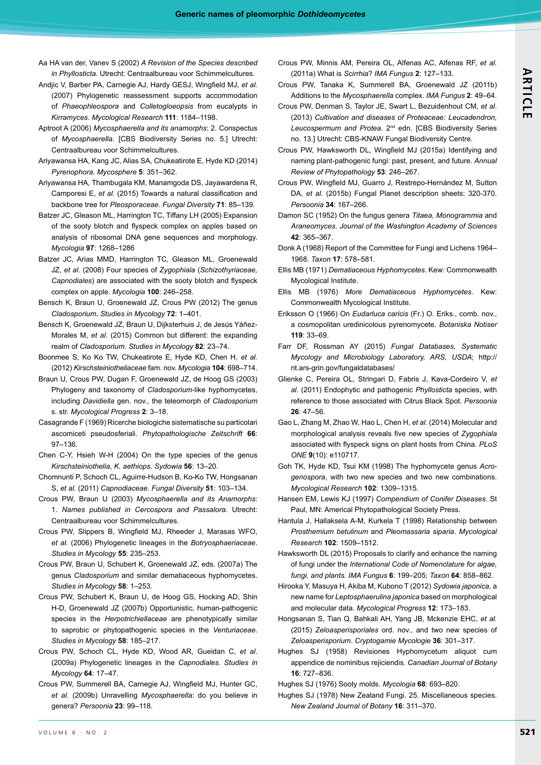- Aa HA van der, Vanev S (2002) *A Revision of the Species described in Phyllosticta*. Utrecht: Centraalbureau voor Schimmelcultures.
- Andjic V, Barber PA, Carnegie AJ, Hardy GESJ, Wingfield MJ, *et al.* (2007) Phylogenetic reassessment supports accommodation of *Phaeophleospora* and *Colletogloeopsis* from eucalypts in *Kirramyces*. *Mycological Research* **111**: 1184–1198.
- Aptroot A (2006) *Mycosphaerella and its anamorphs*: 2. Conspectus of *Mycosphaerella*. [CBS Biodiversity Series no. 5.] Utrecht: Centraalbureau voor Schimmelcultures.
- Ariyawansa HA, Kang JC, Alias SA, Chukeatirote E, Hyde KD (2014) *Pyrenophora*. *Mycosphere* **5**: 351–362.
- Ariyawansa HA, Thambugala KM, Manamgoda DS, Jayawardena R, Camporesi E, *et al.* (2015) Towards a natural classification and backbone tree for *Pleosporaceae*. *Fungal Diversity* **71**: 85–139.
- Batzer JC, Gleason ML, Harrington TC, Tiffany LH (2005) Expansion of the sooty blotch and flyspeck complex on apples based on analysis of ribosomal DNA gene sequences and morphology. *Mycologia* **97**: 1268*–*1286
- Batzer JC, Arias MMD, Harrington TC, Gleason ML, Groenewald JZ, *et al*. (2008) Four species of *Zygophiala* (*Schizothyriaceae, Capnodiales*) are associated with the sooty blotch and flyspeck complex on apple. *Mycologia* **100**: 246–258.
- Bensch K, Braun U, Groenewald JZ, Crous PW (2012) The genus *Cladosporium***.** *Studies in Mycology* **72**: 1–401.
- Bensch K, Groenewald JZ, Braun U, Dijksterhuis J, de Jesús Yáñez-Morales M, *et al*. (2015) Common but different: the expanding realm of *Cladosporium*. *Studies in Mycology* **82**: 23–74.
- Boonmee S, Ko Ko TW, Chukeatirote E, Hyde KD, Chen H, *et al.* (2012) *Kirschsteiniotheliaceae* fam. nov. *Mycologia* **104**: 698–714.
- Braun U, Crous PW, Dugan F, Groenewald JZ, de Hoog GS (2003) Phylogeny and taxonomy of *Cladosporium*-like hyphomycetes, including *Davidiella* gen. nov., the teleomorph of *Cladosporium* s. str. *Mycological Progress* **2**: 3–18.
- Casagrande F (1969) Ricerche biologiche sistematische su particolari ascomiceti pseudosferiali. *Phytopathologische Zeitschrift* **66**: 97–136.
- Chen C-Y, Hsieh W-H (2004) On the type species of the genus *Kirschsteiniothelia*, *K. aethiops*. *Sydowia* **56**: 13–20.
- Chomnunti P, Schoch CL, Aguirre-Hudson B, Ko-Ko TW, Hongsanan S, *et al.* (2011) *Capnodiaceae*. *Fungal Diversity* **51**: 103–134.
- Crous PW, Braun U (2003) *Mycosphaerella and its Anamorphs*: 1. *Names published in Cercospora and Passalora*. Utrecht: Centraalbureau voor Schimmelcultures.
- Crous PW, Slippers B, Wingfield MJ, Rheeder J, Marasas WFO, *et al.* (2006) Phylogenetic lineages in the *Botryosphaeriaceae*. *Studies in Mycology* **55**: 235–253.
- Crous PW, Braun U, Schubert K, Groenewald JZ, eds. (2007a) The genus *Cladosporium* and similar dematiaceous hyphomycetes. *Studies in Mycology* **58**: 1–253.
- Crous PW, Schubert K, Braun U, de Hoog GS, Hocking AD, Shin H-D, Groenewald JZ (2007b) Opportunistic, human-pathogenic species in the *Herpotrichiellaceae* are phenotypically similar to saprobic or phytopathogenic species in the *Venturiaceae*. *Studies in Mycology* **58**: 185–217.
- Crous PW, Schoch CL, Hyde KD, Wood AR, Gueidan C, *et al*. (2009a) Phylogenetic lineages in the *Capnodiales*. *Studies in Mycology* **64**: 17–47.
- Crous PW, Summerell BA, Carnegie AJ, Wingfield MJ, Hunter GC, *et al.* (2009b) Unravelling *Mycosphaerella*: do you believe in genera? *Persoonia* **23**: 99–118.
- Crous PW, Minnis AM, Pereira OL, Alfenas AC, Alfenas RF, *et al.* (2011a) What is *Scirrhia*? *IMA Fungus* **2**: 127–133.
- Crous PW, Tanaka K, Summerell BA, Groenewald JZ (2011b) Additions to the *Mycosphaerella* complex. *IMA Fungus* **2**: 49*–*64.
- Crous PW, Denman S, Taylor JE, Swart L, Bezuidenhout CM, *et al*. (2013) *Cultivation and diseases of Proteaceae: Leucadendron, Leucospermum and Protea.* 2nd edn. [CBS Biodiversity Series no. 13.] Utrecht: CBS-KNAW Fungal Biodiversity Centre.
- Crous PW, Hawksworth DL, Wingfield MJ (2015a) Identifying and naming plant-pathogenic fungi: past, present, and future. *Annual Review of Phytopathology* **53**: 246–267.
- Crous PW, Wingfield MJ, Guarro J, Restrepo-Hernández M, Sutton DA, *et al.* (2015b) Fungal Planet description sheets: 320-370. *Persoonia* **34**: 167–266.
- Damon SC (1952) On the fungus genera *Titaea, Monogrammia* and *Araneomyces*. *Journal of the Washington Academy of Sciences* **42**: 365–367.
- Donk A (1968) Report of the Committee for Fungi and Lichens 1964– 1968. *Taxon* **17**: 578–581.
- Ellis MB (1971) *Dematiaceous Hyphomycetes*. Kew: Commonwealth Mycological Institute.
- Ellis MB (1976) *More Dematiaceous Hyphomycetes*. Kew: Commonwealth Mycological Institute.
- Eriksson O (1966) On *Eudarluca caricis* (Fr.) O. Eriks., comb. nov., a cosmopolitan uredinicolous pyrenomycete. *Botaniska Notiser* **119**: 33–69.
- Farr DF, Rossman AY (2015) *Fungal Databases, Systematic Mycology and Microbiology Laboratory, ARS, USDA*; http:// nt.ars-grin.gov/fungaldatabases/
- Glienke C, Pereira OL, Stringari D, Fabris J, Kava-Cordeiro V, *et al.* (2011) Endophytic and pathogenic *Phyllosticta* species, with reference to those associated with Citrus Black Spot. *Persoonia* **26**: 47–56.
- Gao L, Zhang M, Zhao W, Hao L, Chen H, *et al.* (2014) Molecular and morphological analysis reveals five new species of *Zygophiala* associated with flyspeck signs on plant hosts from China. *PLoS ONE* **9**(10): e110717.
- Goh TK, Hyde KD, Tsui KM (1998) The hyphomycete genus *Acrogenospora*, with two new species and two new combinations. *Mycological Research* **102**: 1309–1315.
- Hansen EM, Lewis KJ (1997) *Compendium of Conifer Diseases*. St Paul, MN: Americal Phytopathological Society Press.
- Hantula J, Hallaksela A-M, Kurkela T (1998) Relationship between *Prosthemium betulinum* and *Pleomassaria siparia*. *Mycological Research* **102**: 1509–1512.
- Hawksworth DL (2015) Proposals to clarify and enhance the naming of fungi under the *International Code of Nomenclature for algae, fungi, and plants. IMA Fungus* **6**: 199–205; *Taxon* **64**: 858–862.
- Hirooka Y, Masuya H, Akiba M, Kubono T (2012) *Sydowia japonica*, a new name for *Leptosphaerulina japonica* based on morphological and molecular data. *Mycological Progress* **12**: 173–183.
- Hongsanan S, Tian Q, Bahkali AH, Yang JB, Mckenzie EHC, *et al.* (2015) *Zeloasperisporiales* ord. nov., and two new species of *Zeloasperisporium*. *Cryptogamie Mycologie* **36**: 301–317.
- Hughes SJ (1958) Revisiones Hyphomycetum aliquot cum appendice de nominibus rejiciendis. *Canadian Journal of Botany*  **16**: 727–836.
- Hughes SJ (1976) Sooty molds. *Mycologia* **68**: 693–820.
- Hughes SJ (1978) New Zealand Fungi. 25. Miscellaneous species. *New Zealand Journal of Botany* **16**: 311–370.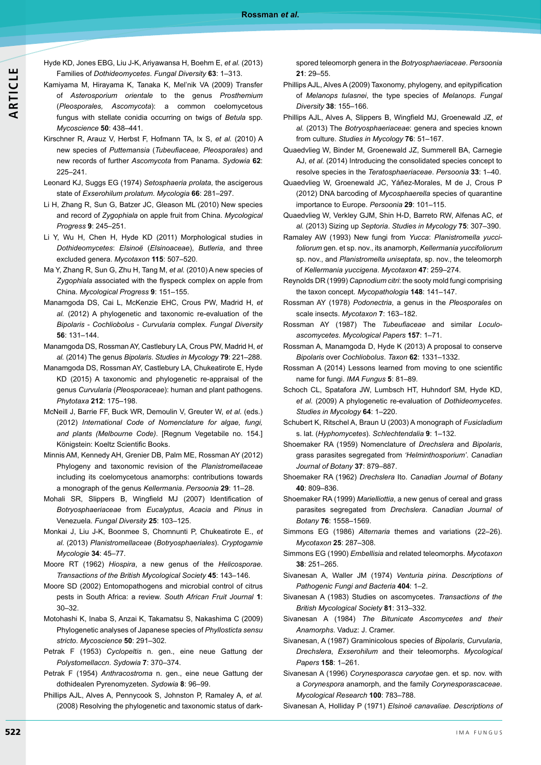- Hyde KD, Jones EBG, Liu J-K, Ariyawansa H, Boehm E, *et al.* (2013) Families of *Dothideomycetes*. *Fungal Diversity* **63**: 1–313.
- Kamiyama M, Hirayama K, Tanaka K, Mel'nik VA (2009) Transfer of *Asterosporium orientale* to the genus *Prosthemium* (*Pleosporales, Ascomycota*): a common coelomycetous fungus with stellate conidia occurring on twigs of *Betula* spp. *Mycoscience* **50**: 438–441.
- Kirschner R, Arauz V, Herbst F, Hofmann TA, Ix S, *et al.* (2010) A new species of *Puttemansia* (*Tubeufiaceae, Pleosporales*) and new records of further *Ascomycota* from Panama. *Sydowia* **62**: 225–241.
- Leonard KJ, Suggs EG (1974) *Setosphaeria prolata*, the ascigerous state of *Exserohilum prolatum*. *Mycologia* **66**: 281–297.
- Li H, Zhang R, Sun G, Batzer JC, Gleason ML (2010) New species and record of *Zygophiala* on apple fruit from China. *Mycological Progress* **9**: 245–251.
- Li Y, Wu H, Chen H, Hyde KD (2011) Morphological studies in *Dothideomycetes*: *Elsinoë* (*Elsinoaceae*), *Butleria*, and three excluded genera. *Mycotaxon* **115**: 507–520.
- Ma Y, Zhang R, Sun G, Zhu H, Tang M, *et al.* (2010) A new species of *Zygophiala* associated with the flyspeck complex on apple from China. *Mycological Progress* **9**: 151–155.
- Manamgoda DS, Cai L, McKenzie EHC, Crous PW, Madrid H, *et al.* (2012) A phylogenetic and taxonomic re-evaluation of the *Bipolaris* - *Cochliobolus* - *Curvularia* complex. *Fungal Diversity* **56**: 131–144.
- Manamgoda DS, Rossman AY, Castlebury LA, Crous PW, Madrid H, *et al.* (2014) The genus *Bipolaris*. *Studies in Mycology* **79**: 221–288.
- Manamgoda DS, Rossman AY, Castlebury LA, Chukeatirote E, Hyde KD (2015) A taxonomic and phylogenetic re-appraisal of the genus *Curvularia* (*Pleosporaceae*): human and plant pathogens. *Phytotaxa* **212**: 175–198.
- McNeill J, Barrie FF, Buck WR, Demoulin V, Greuter W, *et al.* (eds.) (2012) *International Code of Nomenclature for algae, fungi, and plants (Melbourne Code)*. [Regnum Vegetabile no. 154.] Königstein: Koeltz Scientific Books.
- Minnis AM, Kennedy AH, Grenier DB, Palm ME, Rossman AY (2012) Phylogeny and taxonomic revision of the *Planistromellaceae* including its coelomycetous anamorphs: contributions towards a monograph of the genus *Kellermania*. *Persoonia* **29**: 11–28.
- Mohali SR, Slippers B, Wingfield MJ (2007) Identification of *Botryosphaeriaceae* from *Eucalyptus*, *Acacia* and *Pinus* in Venezuela. *Fungal Diversity* **25**: 103–125.
- Monkai J, Liu J-K, Boonmee S, Chomnunti P, Chukeatirote E., *et al.* (2013) *Planistromellaceae* (*Botryosphaeriales*). *Cryptogamie Mycologie* **34**: 45–77.
- Moore RT (1962) *Hiospira*, a new genus of the *Helicosporae*. *Transactions of the British Mycological Society* **45**: 143–146.
- Moore SD (2002) Entomopathogens and microbial control of citrus pests in South Africa: a review. *South African Fruit Journal* **1**: 30–32.
- Motohashi K, Inaba S, Anzai K, Takamatsu S, Nakashima C (2009) Phylogenetic analyses of Japanese species of *Phyllosticta sensu stricto*. *Mycoscience* **50**: 291–302.
- Petrak F (1953) *Cyclopeltis* n. gen., eine neue Gattung der *Polystomellaccn*. *Sydowia* **7**: 370–374.
- Petrak F (1954) *Anthracostroma* n. gen., eine neue Gattung der dothidealen Pyrenomyzeten. *Sydowia* **8**: 96–99.
- Phillips AJL, Alves A, Pennycook S, Johnston P, Ramaley A, *et al.* (2008) Resolving the phylogenetic and taxonomic status of dark-

spored teleomorph genera in the *Botryosphaeriaceae*. *Persoonia* **21**: 29–55.

- Phillips AJL, Alves A (2009) Taxonomy, phylogeny, and epitypification of *Melanops tulasnei*, the type species of *Melanops*. *Fungal Diversity* **38**: 155–166.
- Phillips AJL, Alves A, Slippers B, Wingfield MJ, Groenewald JZ, *et al.* (2013) The *Botryosphaeriaceae*: genera and species known from culture. *Studies in Mycology* **76**: 51–167.
- Quaedvlieg W, Binder M, Groenewald JZ, Summerell BA, Carnegie AJ, *et al.* (2014) Introducing the consolidated species concept to resolve species in the *Teratosphaeriaceae*. *Persoonia* **33**: 1*–*40.
- Quaedvlieg W, Groenewald JC, Yáñez-Morales, M de J, Crous P (2012) DNA barcoding of *Mycosphaerella* species of quarantine importance to Europe. *Persoonia* **29**: 101*–*115.
- Quaedvlieg W, Verkley GJM, Shin H-D, Barreto RW, Alfenas AC, *et al.* (2013) Sizing up *Septoria*. *Studies in Mycology* **75**: 307–390.
- Ramaley AW (1993) New fungi from *Yucca*: *Planistromella yuccifoliorum* gen. et sp. nov., its anamorph, *Kellermania yuccifoliorum* sp. nov., and *Planistromella uniseptata*, sp. nov., the teleomorph of *Kellermania yuccigena*. *Mycotaxon* **47**: 259–274.
- Reynolds DR (1999) *Capnodium citri*: the sooty mold fungi comprising the taxon concept. *Mycopathologia* **148**: 141–147.
- Rossman AY (1978) *Podonectria*, a genus in the *Pleosporales* on scale insects. *Mycotaxon* **7**: 163–182.
- Rossman AY (1987) The *Tubeufiaceae* and similar *Loculoascomycetes*. *Mycological Papers* **157**: 1–71.
- Rossman A, Manamgoda D, Hyde K (2013) A proposal to conserve *Bipolaris* over *Cochliobolus*. *Taxon* **62**: 1331–1332.
- Rossman A (2014) Lessons learned from moving to one scientific name for fungi. *IMA Fungus* **5**: 81–89.
- Schoch CL, Spatafora JW, Lumbsch HT, Huhndorf SM, Hyde KD, *et al.* (2009) A phylogenetic re*-*evaluation of *Dothideomycetes*. *Studies in Mycology* **64**: 1–220.
- Schubert K, Ritschel A, Braun U (2003) A monograph of *Fusicladium* s. lat. (*Hyphomycetes*). *Schlechtendalia* **9**: 1–132.
- Shoemaker RA (1959) Nomenclature of *Drechslera* and *Bipolaris*, grass parasites segregated from *'Helminthosporium'*. *Canadian Journal of Botany* **37**: 879–887.
- Shoemaker RA (1962) *Drechslera* Ito. *Canadian Journal of Botany* **40**: 809*–*836.
- Shoemaker RA (1999) *Marielliottia*, a new genus of cereal and grass parasites segregated from *Drechslera*. *Canadian Journal of Botany* **76**: 1558–1569.
- Simmons EG (1986) *Alternaria* themes and variations (22–26). *Mycotaxon* **25**: 287–308.
- Simmons EG (1990) *Embellisia* and related teleomorphs. *Mycotaxon* **38**: 251–265.
- Sivanesan A, Waller JM (1974) *Venturia pirina*. *Descriptions of Pathogenic Fungi and Bacteria* **404**: 1–2.
- Sivanesan A (1983) Studies on ascomycetes. *Transactions of the British Mycological Society* **81**: 313–332.
- Sivanesan A (1984) *The Bitunicate Ascomycetes and their Anamorphs*. Vaduz: J. Cramer.
- Sivanesan, A (1987) Graminicolous species of *Bipolaris*, *Curvularia*, *Drechslera*, *Exserohilum* and their teleomorphs. *Mycological Papers* **158**: 1–261.
- Sivanesan A (1996) *Corynesporasca caryotae* gen. et sp. nov. with a *Corynespora* anamorph, and the family *Corynesporascaceae*. *Mycological Research* **100**: 783*–*788.

Sivanesan A, Holliday P (1971) *Elsinoë canavaliae. Descriptions of*